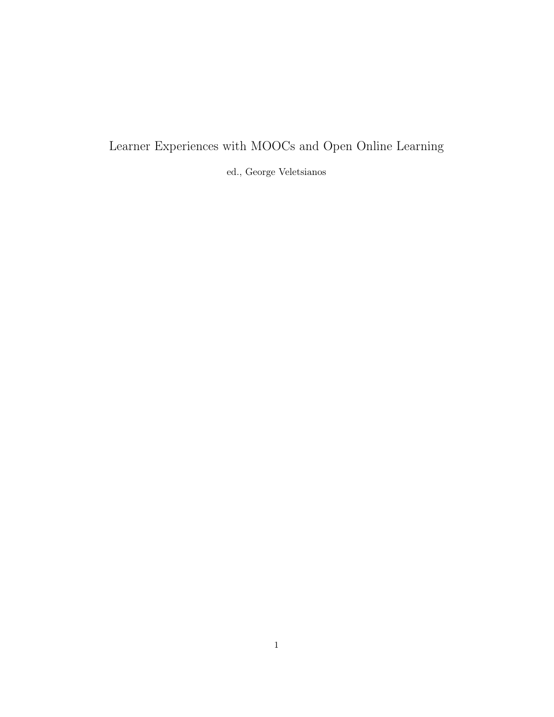## Learner Experiences with MOOCs and Open Online Learning

ed., George Veletsianos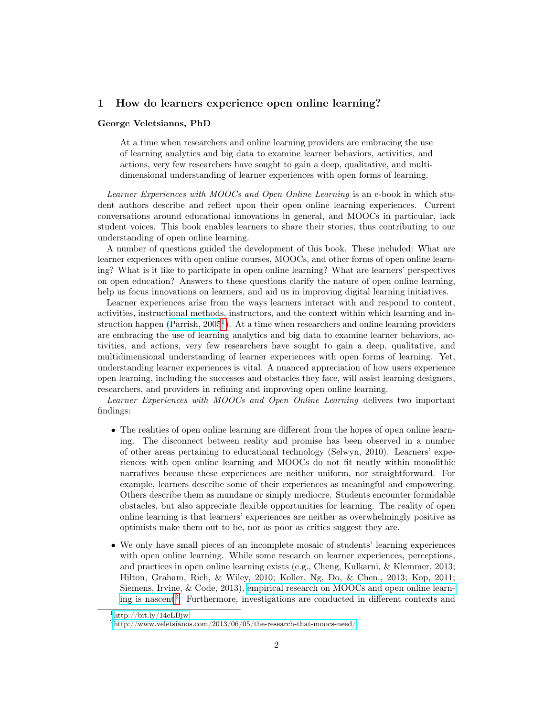## 1 How do learners experience open online learning?

#### George Veletsianos, PhD

At a time when researchers and online learning providers are embracing the use of learning analytics and big data to examine learner behaviors, activities, and actions, very few researchers have sought to gain a deep, qualitative, and multidimensional understanding of learner experiences with open forms of learning.

Learner Experiences with MOOCs and Open Online Learning is an e-book in which student authors describe and reflect upon their open online learning experiences. Current conversations around educational innovations in general, and MOOCs in particular, lack student voices. This book enables learners to share their stories, thus contributing to our understanding of open online learning.

A number of questions guided the development of this book. These included: What are learner experiences with open online courses, MOOCs, and other forms of open online learning? What is it like to participate in open online learning? What are learners' perspectives on open education? Answers to these questions clarify the nature of open online learning, help us focus innovations on learners, and aid us in improving digital learning initiatives.

Learner experiences arise from the ways learners interact with and respond to content, activities, instructional methods, instructors, and the context within which learning and instruction happen (Parrish,  $2005<sup>1</sup>$  $2005<sup>1</sup>$  $2005<sup>1</sup>$ ). At a time when researchers and online learning providers are embracing the use of learning analytics and big data to examine learner behaviors, activities, and actions, very few researchers have sought to gain a deep, qualitative, and multidimensional understanding of learner experiences with open forms of learning. Yet, understanding learner experiences is vital. A nuanced appreciation of how users experience open learning, including the successes and obstacles they face, will assist learning designers, researchers, and providers in refining and improving open online learning.

Learner Experiences with MOOCs and Open Online Learning delivers two important findings:

- The realities of open online learning are different from the hopes of open online learning. The disconnect between reality and promise has been observed in a number of other areas pertaining to educational technology (Selwyn, 2010). Learners' experiences with open online learning and MOOCs do not fit neatly within monolithic narratives because these experiences are neither uniform, nor straightforward. For example, learners describe some of their experiences as meaningful and empowering. Others describe them as mundane or simply mediocre. Students encounter formidable obstacles, but also appreciate flexible opportunities for learning. The reality of open online learning is that learners' experiences are neither as overwhelmingly positive as optimists make them out to be, nor as poor as critics suggest they are.
- We only have small pieces of an incomplete mosaic of students' learning experiences with open online learning. While some research on learner experiences, perceptions, and practices in open online learning exists (e.g., Cheng, Kulkarni, & Klemmer, 2013; Hilton, Graham, Rich, & Wiley, 2010; Koller, Ng, Do, & Chen., 2013; Kop, 2011; Siemens, Irvine, & Code, 2013), [empirical research on MOOCs and open online learn](http://www.veletsianos.com/2013/06/05/the-research-that-moocs-need/)[ing is nascent](http://www.veletsianos.com/2013/06/05/the-research-that-moocs-need/)[2](#page-1-1) . Furthermore, investigations are conducted in different contexts and

<span id="page-1-0"></span> $1$ <http://bit.ly/14eLBjw>

<span id="page-1-1"></span> $^{2}$ <http://www.veletsianos.com/2013/06/05/the-research-that-moocs-need/>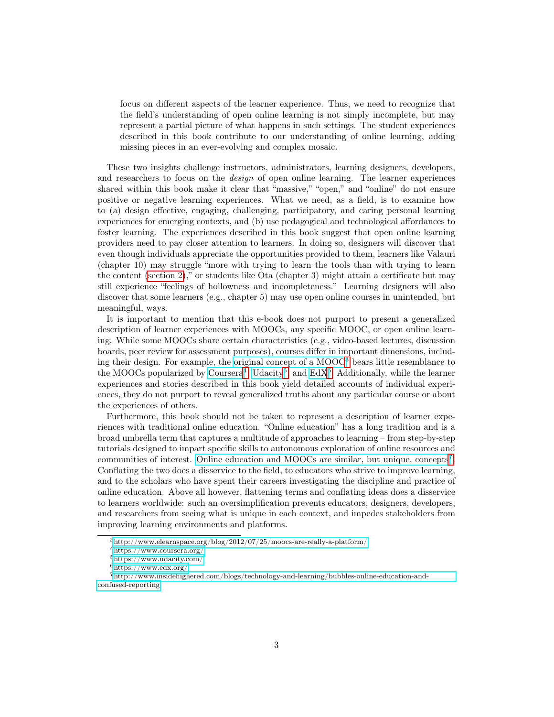focus on different aspects of the learner experience. Thus, we need to recognize that the field's understanding of open online learning is not simply incomplete, but may represent a partial picture of what happens in such settings. The student experiences described in this book contribute to our understanding of online learning, adding missing pieces in an ever-evolving and complex mosaic.

These two insights challenge instructors, administrators, learning designers, developers, and researchers to focus on the *design* of open online learning. The learner experiences shared within this book make it clear that "massive," "open," and "online" do not ensure positive or negative learning experiences. What we need, as a field, is to examine how to (a) design effective, engaging, challenging, participatory, and caring personal learning experiences for emerging contexts, and (b) use pedagogical and technological affordances to foster learning. The experiences described in this book suggest that open online learning providers need to pay closer attention to learners. In doing so, designers will discover that even though individuals appreciate the opportunities provided to them, learners like Valauri (chapter 10) may struggle "more with trying to learn the tools than with trying to learn the content [\(section 2\)](#page-6-0)," or students like Ota (chapter 3) might attain a certificate but may still experience "feelings of hollowness and incompleteness." Learning designers will also discover that some learners (e.g., chapter 5) may use open online courses in unintended, but meaningful, ways.

It is important to mention that this e-book does not purport to present a generalized description of learner experiences with MOOCs, any specific MOOC, or open online learning. While some MOOCs share certain characteristics (e.g., video-based lectures, discussion boards, peer review for assessment purposes), courses differ in important dimensions, including their design. For example, the [original concept of a MOOC](http://www.elearnspace.org/blog/2012/07/25/moocs-are-really-a-platform/)[3](#page-2-0) bears little resemblance to the MOOCs popularized by [Coursera](https://www.coursera.org/)<sup>[4](#page-2-1)</sup>, [Udacity](https://www.udacity.com/)<sup>[5](#page-2-2)</sup>, and [EdX](https://www.edx.org/)<sup>[6](#page-2-3)</sup>. Additionally, while the learner experiences and stories described in this book yield detailed accounts of individual experiences, they do not purport to reveal generalized truths about any particular course or about the experiences of others.

Furthermore, this book should not be taken to represent a description of learner experiences with traditional online education. "Online education" has a long tradition and is a broad umbrella term that captures a multitude of approaches to learning – from step-by-step tutorials designed to impart specific skills to autonomous exploration of online resources and communities of interest. [Online education and MOOCs are similar, but unique, concepts](http://www.insidehighered.com/blogs/technology-and-learning/bubbles-online-education-and-confused-reporting)[7](#page-2-4) . Conflating the two does a disservice to the field, to educators who strive to improve learning, and to the scholars who have spent their careers investigating the discipline and practice of online education. Above all however, flattening terms and conflating ideas does a disservice to learners worldwide: such an oversimplification prevents educators, designers, developers, and researchers from seeing what is unique in each context, and impedes stakeholders from improving learning environments and platforms.

<span id="page-2-0"></span><sup>3</sup><http://www.elearnspace.org/blog/2012/07/25/moocs-are-really-a-platform/>

<span id="page-2-1"></span><sup>4</sup><https://www.coursera.org/>

<span id="page-2-2"></span><sup>5</sup><https://www.udacity.com/>

<span id="page-2-4"></span><span id="page-2-3"></span> $6$ <https://www.edx.org/>

<sup>7</sup>[http://www.insidehighered.com/blogs/technology-and-learning/bubbles-online-education-and](http://www.insidehighered.com/blogs/technology-and-learning/bubbles-online-education-and-confused-reporting)[confused-reporting](http://www.insidehighered.com/blogs/technology-and-learning/bubbles-online-education-and-confused-reporting)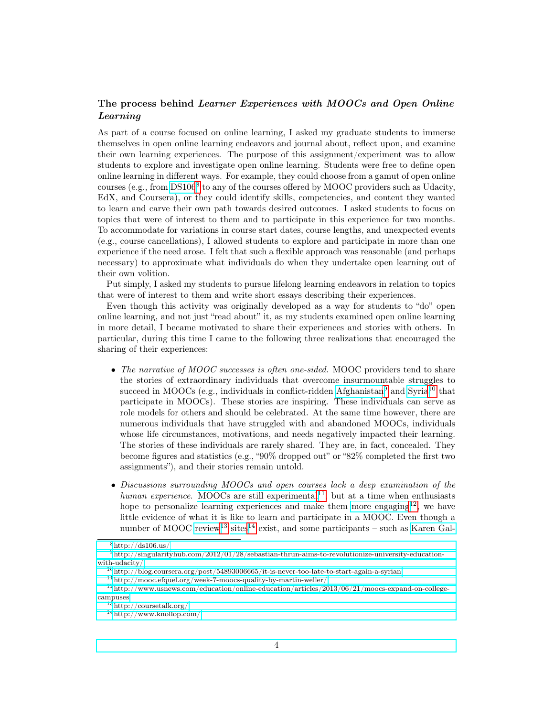## The process behind Learner Experiences with MOOCs and Open Online Learning

As part of a course focused on online learning, I asked my graduate students to immerse themselves in open online learning endeavors and journal about, reflect upon, and examine their own learning experiences. The purpose of this assignment/experiment was to allow students to explore and investigate open online learning. Students were free to define open online learning in different ways. For example, they could choose from a gamut of open online courses (e.g., from [DS106](http://ds106.us/)<sup>[8](#page-3-0)</sup> to any of the courses offered by MOOC providers such as Udacity, EdX, and Coursera), or they could identify skills, competencies, and content they wanted to learn and carve their own path towards desired outcomes. I asked students to focus on topics that were of interest to them and to participate in this experience for two months. To accommodate for variations in course start dates, course lengths, and unexpected events (e.g., course cancellations), I allowed students to explore and participate in more than one experience if the need arose. I felt that such a flexible approach was reasonable (and perhaps necessary) to approximate what individuals do when they undertake open learning out of their own volition.

Put simply, I asked my students to pursue lifelong learning endeavors in relation to topics that were of interest to them and write short essays describing their experiences.

Even though this activity was originally developed as a way for students to "do" open online learning, and not just "read about" it, as my students examined open online learning in more detail, I became motivated to share their experiences and stories with others. In particular, during this time I came to the following three realizations that encouraged the sharing of their experiences:

- The narrative of MOOC successes is often one-sided. MOOC providers tend to share the stories of extraordinary individuals that overcome insurmountable struggles to succeed in MOOCs (e.g., individuals in conflict-ridden [Afghanistan](http://singularityhub.com/2012/01/28/sebastian-thrun-aims-to-revolutionize-university-education-with-udacity/)<sup>[9](#page-3-1)</sup> and [Syria](http://blog.coursera.org/post/54893006665/it-is-never-too-late-to-start-again-a-syrian)<sup>[10](#page-3-2)</sup> that participate in MOOCs). These stories are inspiring. These individuals can serve as role models for others and should be celebrated. At the same time however, there are numerous individuals that have struggled with and abandoned MOOCs, individuals whose life circumstances, motivations, and needs negatively impacted their learning. The stories of these individuals are rarely shared. They are, in fact, concealed. They become figures and statistics (e.g., "90% dropped out" or "82% completed the first two assignments"), and their stories remain untold.
- Discussions surrounding MOOCs and open courses lack a deep examination of the human experience. [MOOCs are still experimental](http://mooc.efquel.org/week-7-moocs-quality-by-martin-weller/)  $11$ , but at a time when enthusiasts hope to personalize learning experiences and make them [more engaging](http://www.usnews.com/education/online-education/articles/2013/06/21/moocs-expand-on-college-campuses)  $12$ , we have little evidence of what it is like to learn and participate in a MOOC. Even though a number of MOOC [review](http://coursetalk.org/)<sup>[13](#page-3-5)</sup> [sites](http://www.knollop.com/)<sup>[14](#page-3-6)</sup> exist, and some participants – such as [Karen Gal-](http://www.insidehighered.com/views/2013/06/11/essay-disappointing-experience-mooc)

<span id="page-3-1"></span><span id="page-3-0"></span> $8$ [http://ds106.us/](http://www.insidehighered.com/views/2013/06/11/essay-disappointing-experience-mooc)

 $^9$ [http://singularityhub.com/2012/01/28/sebastian-thrun-aims-to-revolutionize-university-education](http://www.insidehighered.com/views/2013/06/11/essay-disappointing-experience-mooc)[with-udacity/](http://www.insidehighered.com/views/2013/06/11/essay-disappointing-experience-mooc)

<span id="page-3-2"></span> $10$ [http://blog.coursera.org/post/54893006665/it-is-never-too-late-to-start-again-a-syrian](http://www.insidehighered.com/views/2013/06/11/essay-disappointing-experience-mooc)

<span id="page-3-4"></span><span id="page-3-3"></span> $^{11}{\rm http://mooc.efquel.org/web-7-moocs-quality-by-martin-weller/}$ 

<sup>12</sup>[http://www.usnews.com/education/online-education/articles/2013/06/21/moocs-expand-on-college](http://www.insidehighered.com/views/2013/06/11/essay-disappointing-experience-mooc)[campuses](http://www.insidehighered.com/views/2013/06/11/essay-disappointing-experience-mooc)

<span id="page-3-5"></span><sup>13</sup>[http://coursetalk.org/](http://www.insidehighered.com/views/2013/06/11/essay-disappointing-experience-mooc)

<span id="page-3-6"></span><sup>14</sup>[http://www.knollop.com/](http://www.insidehighered.com/views/2013/06/11/essay-disappointing-experience-mooc)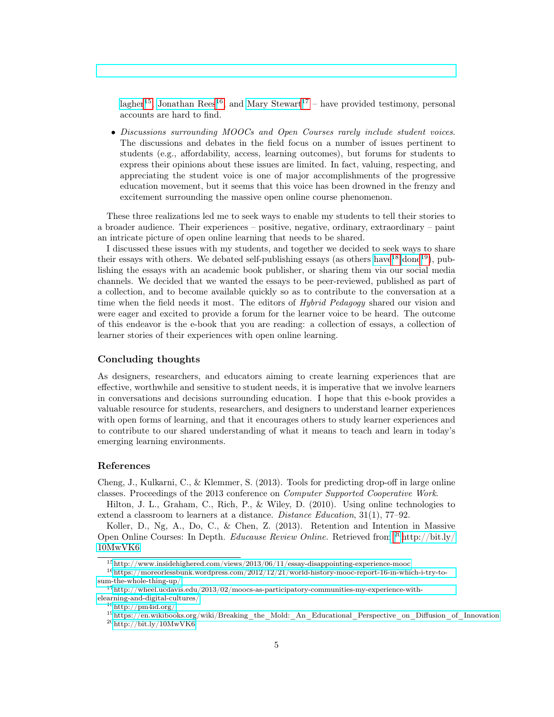[lagher](http://www.insidehighered.com/views/2013/06/11/essay-disappointing-experience-mooc)<sup>[15](#page-4-0)</sup>, [Jonathan Rees](https://moreorlessbunk.wordpress.com/2012/12/21/world-history-mooc-report-16-in-which-i-try-to-sum-the-whole-thing-up/)<sup>[16](#page-4-1)</sup>, and [Mary Stewart](http://wheel.ucdavis.edu/2013/02/moocs-as-participatory-communities-my-experience-with-elearning-and-digital-cultures/)<sup>[17](#page-4-2)</sup> – have provided testimony, personal accounts are hard to find.

• Discussions surrounding MOOCs and Open Courses rarely include student voices. The discussions and debates in the field focus on a number of issues pertinent to students (e.g., affordability, access, learning outcomes), but forums for students to express their opinions about these issues are limited. In fact, valuing, respecting, and appreciating the student voice is one of major accomplishments of the progressive education movement, but it seems that this voice has been drowned in the frenzy and excitement surrounding the massive open online course phenomenon.

These three realizations led me to seek ways to enable my students to tell their stories to a broader audience. Their experiences – positive, negative, ordinary, extraordinary – paint an intricate picture of open online learning that needs to be shared.

I discussed these issues with my students, and together we decided to seek ways to share their essays with others. We debated self-publishing essays (as others [have](http://pm4id.org/)  $^{18}$  $^{18}$  $^{18}$  [done](https://en.wikibooks.org/wiki/Breaking_the_Mold:_An_Educational_Perspective_on_Diffusion_of_Innovation)<sup>[19](#page-4-4)</sup>), publishing the essays with an academic book publisher, or sharing them via our social media channels. We decided that we wanted the essays to be peer-reviewed, published as part of a collection, and to become available quickly so as to contribute to the conversation at a time when the field needs it most. The editors of *Hybrid Pedagogy* shared our vision and were eager and excited to provide a forum for the learner voice to be heard. The outcome of this endeavor is the e-book that you are reading: a collection of essays, a collection of learner stories of their experiences with open online learning.

#### Concluding thoughts

As designers, researchers, and educators aiming to create learning experiences that are effective, worthwhile and sensitive to student needs, it is imperative that we involve learners in conversations and decisions surrounding education. I hope that this e-book provides a valuable resource for students, researchers, and designers to understand learner experiences with open forms of learning, and that it encourages others to study learner experiences and to contribute to our shared understanding of what it means to teach and learn in today's emerging learning environments.

#### References

Cheng, J., Kulkarni, C., & Klemmer, S. (2013). Tools for predicting drop-off in large online classes. Proceedings of the 2013 conference on Computer Supported Cooperative Work.

Hilton, J. L., Graham, C., Rich, P., & Wiley, D. (2010). Using online technologies to extend a classroom to learners at a distance. *Distance Education*, 31(1), 77–92.

Koller, D., Ng, A., Do, C., & Chen, Z. (2013). Retention and Intention in Massive Open Online Courses: In Depth. Educause Review Online. Retrieved from [20](#page-4-5)[http://bit.ly/](http://bit.ly/10MwVK6) [10MwVK6](http://bit.ly/10MwVK6)

<span id="page-4-3"></span> $^{18}{\rm http://pm4id.org/}$  $^{18}{\rm http://pm4id.org/}$  $^{18}{\rm http://pm4id.org/}$ 

<span id="page-4-1"></span><span id="page-4-0"></span> $^{15}{\rm http://www.insidehighered.com/views/2013/06/11/essay-disappointing-experience-mooc}$  $^{15}{\rm http://www.insidehighered.com/views/2013/06/11/essay-disappointing-experience-mooc}$  $^{15}{\rm http://www.insidehighered.com/views/2013/06/11/essay-disappointing-experience-mooc}$ 

 $^{16}\rm{https://moreorlessbunk.wordpress.com/2012/12/21/world-history-mooc-report-16-in-which-i-try-to$ [sum-the-whole-thing-up/](https://moreorlessbunk.wordpress.com/2012/12/21/world-history-mooc-report-16-in-which-i-try-to-sum-the-whole-thing-up/)

<span id="page-4-2"></span> $17$ [http://wheel.ucdavis.edu/2013/02/moocs-as-participatory-communities-my-experience-with](http://wheel.ucdavis.edu/2013/02/moocs-as-participatory-communities-my-experience-with-elearning-and-digital-cultures/)[elearning-and-digital-cultures/](http://wheel.ucdavis.edu/2013/02/moocs-as-participatory-communities-my-experience-with-elearning-and-digital-cultures/)

<span id="page-4-5"></span><span id="page-4-4"></span><sup>19</sup>[https://en.wikibooks.org/wiki/Breaking\\_the\\_Mold:\\_An\\_Educational\\_Perspective\\_on\\_Diffusion\\_of\\_Innovation](https://en.wikibooks.org/wiki/Breaking_the_Mold:_An_Educational_Perspective_on_Diffusion_of_Innovation) <sup>20</sup><http://bit.ly/10MwVK6>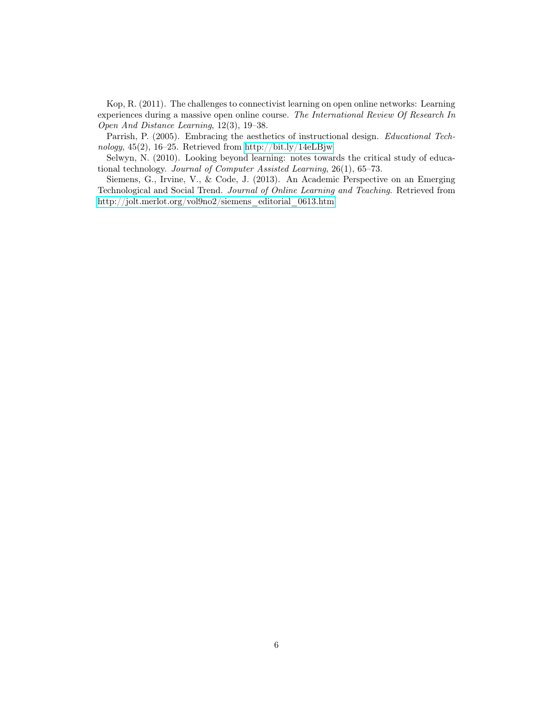Kop, R. (2011). The challenges to connectivist learning on open online networks: Learning experiences during a massive open online course. The International Review Of Research In Open And Distance Learning, 12(3), 19–38.

Parrish, P. (2005). Embracing the aesthetics of instructional design. Educational Technology, 45(2), 16–25. Retrieved from<http://bit.ly/14eLBjw>

Selwyn, N. (2010). Looking beyond learning: notes towards the critical study of educational technology. Journal of Computer Assisted Learning, 26(1), 65–73.

Siemens, G., Irvine, V., & Code, J. (2013). An Academic Perspective on an Emerging Technological and Social Trend. Journal of Online Learning and Teaching. Retrieved from [http://jolt.merlot.org/vol9no2/siemens\\_editorial\\_0613.htm](http://jolt.merlot.org/vol9no2/siemens_editorial_0613.htm)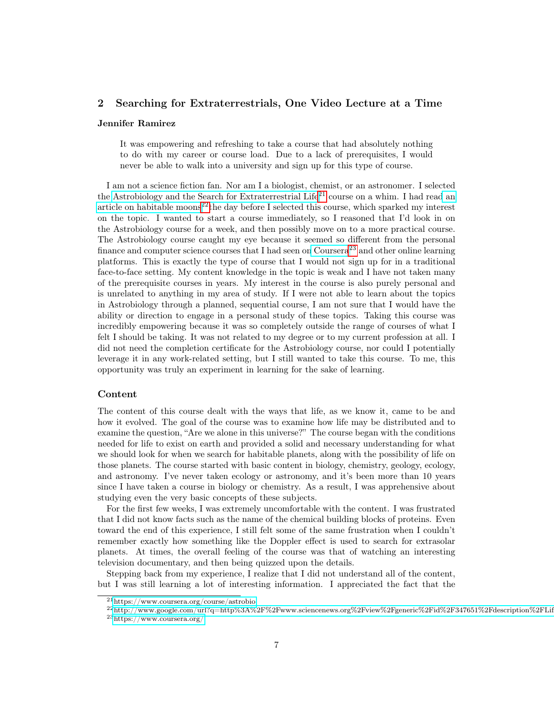## 2 Searching for Extraterrestrials, One Video Lecture at a Time

#### Jennifer Ramirez

It was empowering and refreshing to take a course that had absolutely nothing to do with my career or course load. Due to a lack of prerequisites, I would never be able to walk into a university and sign up for this type of course.

I am not a science fiction fan. Nor am I a biologist, chemist, or an astronomer. I selected the [Astrobiology and the Search for Extraterrestrial Life](https://www.coursera.org/course/astrobio)<sup>[21](#page-6-1)</sup> course on a whim. I had rea[d an](http://www.google.com/url?q=http%3A%2F%2Fwww.sciencenews.org%2Fview%2Fgeneric%2Fid%2F347651%2Fdescription%2FLife_has_prospects_on_moons_of_giant_extrasolar_planets&sa=D&sntz=1&usg=AFQjCNF4Fngxe1uav2isUcgW2QEf_orKUA) [article on habitable moons](http://www.google.com/url?q=http%3A%2F%2Fwww.sciencenews.org%2Fview%2Fgeneric%2Fid%2F347651%2Fdescription%2FLife_has_prospects_on_moons_of_giant_extrasolar_planets&sa=D&sntz=1&usg=AFQjCNF4Fngxe1uav2isUcgW2QEf_orKUA)<sup>[22](#page-6-2)</sup>the day before I selected this course, which sparked my interest on the topic. I wanted to start a course immediately, so I reasoned that I'd look in on the Astrobiology course for a week, and then possibly move on to a more practical course. The Astrobiology course caught my eye because it seemed so different from the personal finance and computer science courses that I had seen o[n Coursera](https://www.coursera.org/)<sup>[23](#page-6-3)</sup> and other online learning platforms. This is exactly the type of course that I would not sign up for in a traditional face-to-face setting. My content knowledge in the topic is weak and I have not taken many of the prerequisite courses in years. My interest in the course is also purely personal and is unrelated to anything in my area of study. If I were not able to learn about the topics in Astrobiology through a planned, sequential course, I am not sure that I would have the ability or direction to engage in a personal study of these topics. Taking this course was incredibly empowering because it was so completely outside the range of courses of what I felt I should be taking. It was not related to my degree or to my current profession at all. I did not need the completion certificate for the Astrobiology course, nor could I potentially leverage it in any work-related setting, but I still wanted to take this course. To me, this opportunity was truly an experiment in learning for the sake of learning.

## <span id="page-6-0"></span>Content

The content of this course dealt with the ways that life, as we know it, came to be and how it evolved. The goal of the course was to examine how life may be distributed and to examine the question, "Are we alone in this universe?" The course began with the conditions needed for life to exist on earth and provided a solid and necessary understanding for what we should look for when we search for habitable planets, along with the possibility of life on those planets. The course started with basic content in biology, chemistry, geology, ecology, and astronomy. I've never taken ecology or astronomy, and it's been more than 10 years since I have taken a course in biology or chemistry. As a result, I was apprehensive about studying even the very basic concepts of these subjects.

For the first few weeks, I was extremely uncomfortable with the content. I was frustrated that I did not know facts such as the name of the chemical building blocks of proteins. Even toward the end of this experience, I still felt some of the same frustration when I couldn't remember exactly how something like the Doppler effect is used to search for extrasolar planets. At times, the overall feeling of the course was that of watching an interesting television documentary, and then being quizzed upon the details.

Stepping back from my experience, I realize that I did not understand all of the content, but I was still learning a lot of interesting information. I appreciated the fact that the

<span id="page-6-2"></span><span id="page-6-1"></span><sup>21</sup><https://www.coursera.org/course/astrobio>

 $^{22}$ http://www.google.com/url?q=http%3A%2F%2Fwww.sciencenews.org%2Fview%2Fgeneric%2Fid%2F347651%2Fdescription%2FLif

<span id="page-6-3"></span><sup>23</sup><https://www.coursera.org/>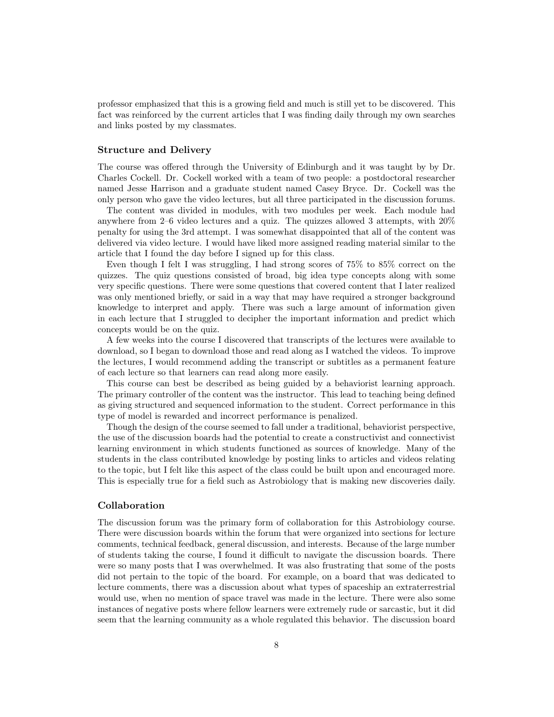professor emphasized that this is a growing field and much is still yet to be discovered. This fact was reinforced by the current articles that I was finding daily through my own searches and links posted by my classmates.

#### Structure and Delivery

The course was offered through the University of Edinburgh and it was taught by by Dr. Charles Cockell. Dr. Cockell worked with a team of two people: a postdoctoral researcher named Jesse Harrison and a graduate student named Casey Bryce. Dr. Cockell was the only person who gave the video lectures, but all three participated in the discussion forums.

The content was divided in modules, with two modules per week. Each module had anywhere from 2–6 video lectures and a quiz. The quizzes allowed 3 attempts, with 20% penalty for using the 3rd attempt. I was somewhat disappointed that all of the content was delivered via video lecture. I would have liked more assigned reading material similar to the article that I found the day before I signed up for this class.

Even though I felt I was struggling, I had strong scores of 75% to 85% correct on the quizzes. The quiz questions consisted of broad, big idea type concepts along with some very specific questions. There were some questions that covered content that I later realized was only mentioned briefly, or said in a way that may have required a stronger background knowledge to interpret and apply. There was such a large amount of information given in each lecture that I struggled to decipher the important information and predict which concepts would be on the quiz.

A few weeks into the course I discovered that transcripts of the lectures were available to download, so I began to download those and read along as I watched the videos. To improve the lectures, I would recommend adding the transcript or subtitles as a permanent feature of each lecture so that learners can read along more easily.

This course can best be described as being guided by a behaviorist learning approach. The primary controller of the content was the instructor. This lead to teaching being defined as giving structured and sequenced information to the student. Correct performance in this type of model is rewarded and incorrect performance is penalized.

Though the design of the course seemed to fall under a traditional, behaviorist perspective, the use of the discussion boards had the potential to create a constructivist and connectivist learning environment in which students functioned as sources of knowledge. Many of the students in the class contributed knowledge by posting links to articles and videos relating to the topic, but I felt like this aspect of the class could be built upon and encouraged more. This is especially true for a field such as Astrobiology that is making new discoveries daily.

## Collaboration

The discussion forum was the primary form of collaboration for this Astrobiology course. There were discussion boards within the forum that were organized into sections for lecture comments, technical feedback, general discussion, and interests. Because of the large number of students taking the course, I found it difficult to navigate the discussion boards. There were so many posts that I was overwhelmed. It was also frustrating that some of the posts did not pertain to the topic of the board. For example, on a board that was dedicated to lecture comments, there was a discussion about what types of spaceship an extraterrestrial would use, when no mention of space travel was made in the lecture. There were also some instances of negative posts where fellow learners were extremely rude or sarcastic, but it did seem that the learning community as a whole regulated this behavior. The discussion board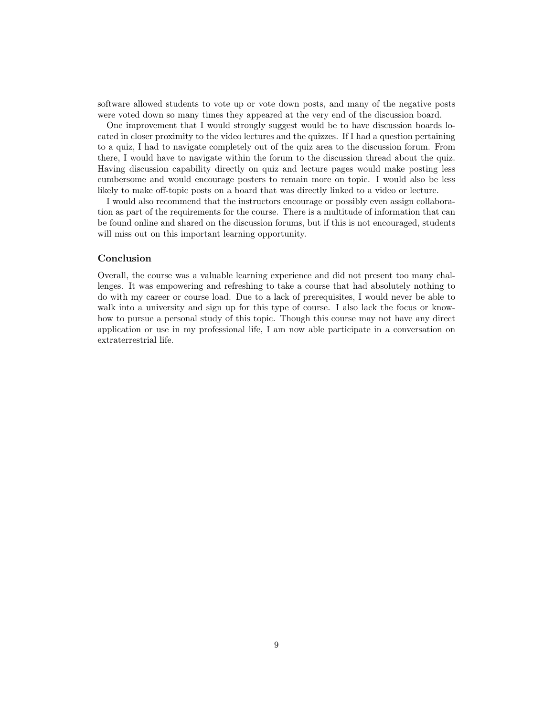software allowed students to vote up or vote down posts, and many of the negative posts were voted down so many times they appeared at the very end of the discussion board.

One improvement that I would strongly suggest would be to have discussion boards located in closer proximity to the video lectures and the quizzes. If I had a question pertaining to a quiz, I had to navigate completely out of the quiz area to the discussion forum. From there, I would have to navigate within the forum to the discussion thread about the quiz. Having discussion capability directly on quiz and lecture pages would make posting less cumbersome and would encourage posters to remain more on topic. I would also be less likely to make off-topic posts on a board that was directly linked to a video or lecture.

I would also recommend that the instructors encourage or possibly even assign collaboration as part of the requirements for the course. There is a multitude of information that can be found online and shared on the discussion forums, but if this is not encouraged, students will miss out on this important learning opportunity.

## Conclusion

Overall, the course was a valuable learning experience and did not present too many challenges. It was empowering and refreshing to take a course that had absolutely nothing to do with my career or course load. Due to a lack of prerequisites, I would never be able to walk into a university and sign up for this type of course. I also lack the focus or knowhow to pursue a personal study of this topic. Though this course may not have any direct application or use in my professional life, I am now able participate in a conversation on extraterrestrial life.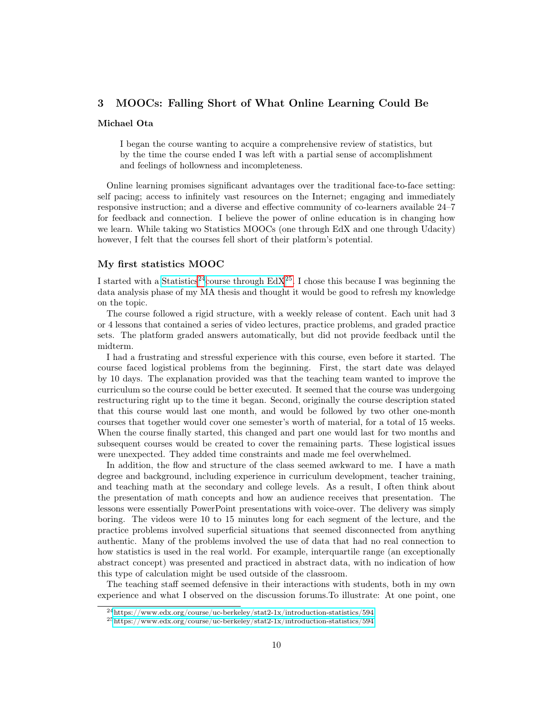## 3 MOOCs: Falling Short of What Online Learning Could Be

#### Michael Ota

I began the course wanting to acquire a comprehensive review of statistics, but by the time the course ended I was left with a partial sense of accomplishment and feelings of hollowness and incompleteness.

Online learning promises significant advantages over the traditional face-to-face setting: self pacing; access to infinitely vast resources on the Internet; engaging and immediately responsive instruction; and a diverse and effective community of co-learners available 24–7 for feedback and connection. I believe the power of online education is in changing how we learn. While taking wo Statistics MOOCs (one through EdX and one through Udacity) however, I felt that the courses fell short of their platform's potential.

## My first statistics MOOC

I started with a [Statistics](https://www.edx.org/course/uc-berkeley/stat2-1x/introduction-statistics/594)<sup>[24](#page-9-0)</sup>[course through EdX](https://www.edx.org/course/uc-berkeley/stat2-1x/introduction-statistics/594)<sup>[25](#page-9-1)</sup>. I chose this because I was beginning the data analysis phase of my MA thesis and thought it would be good to refresh my knowledge on the topic.

The course followed a rigid structure, with a weekly release of content. Each unit had 3 or 4 lessons that contained a series of video lectures, practice problems, and graded practice sets. The platform graded answers automatically, but did not provide feedback until the midterm.

I had a frustrating and stressful experience with this course, even before it started. The course faced logistical problems from the beginning. First, the start date was delayed by 10 days. The explanation provided was that the teaching team wanted to improve the curriculum so the course could be better executed. It seemed that the course was undergoing restructuring right up to the time it began. Second, originally the course description stated that this course would last one month, and would be followed by two other one-month courses that together would cover one semester's worth of material, for a total of 15 weeks. When the course finally started, this changed and part one would last for two months and subsequent courses would be created to cover the remaining parts. These logistical issues were unexpected. They added time constraints and made me feel overwhelmed.

In addition, the flow and structure of the class seemed awkward to me. I have a math degree and background, including experience in curriculum development, teacher training, and teaching math at the secondary and college levels. As a result, I often think about the presentation of math concepts and how an audience receives that presentation. The lessons were essentially PowerPoint presentations with voice-over. The delivery was simply boring. The videos were 10 to 15 minutes long for each segment of the lecture, and the practice problems involved superficial situations that seemed disconnected from anything authentic. Many of the problems involved the use of data that had no real connection to how statistics is used in the real world. For example, interquartile range (an exceptionally abstract concept) was presented and practiced in abstract data, with no indication of how this type of calculation might be used outside of the classroom.

The teaching staff seemed defensive in their interactions with students, both in my own experience and what I observed on the discussion forums.To illustrate: At one point, one

<span id="page-9-0"></span><sup>24</sup><https://www.edx.org/course/uc-berkeley/stat2-1x/introduction-statistics/594>

<span id="page-9-1"></span><sup>25</sup><https://www.edx.org/course/uc-berkeley/stat2-1x/introduction-statistics/594>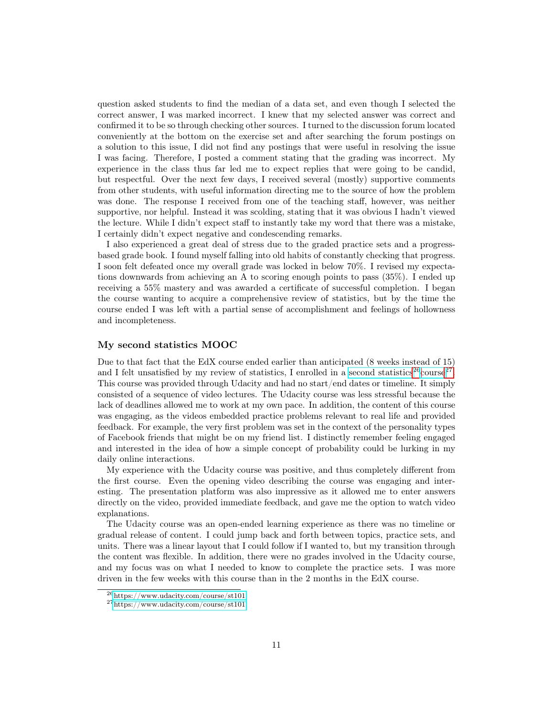question asked students to find the median of a data set, and even though I selected the correct answer, I was marked incorrect. I knew that my selected answer was correct and confirmed it to be so through checking other sources. I turned to the discussion forum located conveniently at the bottom on the exercise set and after searching the forum postings on a solution to this issue, I did not find any postings that were useful in resolving the issue I was facing. Therefore, I posted a comment stating that the grading was incorrect. My experience in the class thus far led me to expect replies that were going to be candid, but respectful. Over the next few days, I received several (mostly) supportive comments from other students, with useful information directing me to the source of how the problem was done. The response I received from one of the teaching staff, however, was neither supportive, nor helpful. Instead it was scolding, stating that it was obvious I hadn't viewed the lecture. While I didn't expect staff to instantly take my word that there was a mistake, I certainly didn't expect negative and condescending remarks.

I also experienced a great deal of stress due to the graded practice sets and a progressbased grade book. I found myself falling into old habits of constantly checking that progress. I soon felt defeated once my overall grade was locked in below 70%. I revised my expectations downwards from achieving an A to scoring enough points to pass (35%). I ended up receiving a 55% mastery and was awarded a certificate of successful completion. I began the course wanting to acquire a comprehensive review of statistics, but by the time the course ended I was left with a partial sense of accomplishment and feelings of hollowness and incompleteness.

#### My second statistics MOOC

Due to that fact that the EdX course ended earlier than anticipated (8 weeks instead of 15) and I felt unsatisfied by my review of statistics, I enrolled in a [second statistics](https://www.udacity.com/course/st101)<sup>[26](#page-10-0)</sup>[course](https://www.udacity.com/course/st101)<sup>[27](#page-10-1)</sup>. This course was provided through Udacity and had no start/end dates or timeline. It simply consisted of a sequence of video lectures. The Udacity course was less stressful because the lack of deadlines allowed me to work at my own pace. In addition, the content of this course was engaging, as the videos embedded practice problems relevant to real life and provided feedback. For example, the very first problem was set in the context of the personality types of Facebook friends that might be on my friend list. I distinctly remember feeling engaged and interested in the idea of how a simple concept of probability could be lurking in my daily online interactions.

My experience with the Udacity course was positive, and thus completely different from the first course. Even the opening video describing the course was engaging and interesting. The presentation platform was also impressive as it allowed me to enter answers directly on the video, provided immediate feedback, and gave me the option to watch video explanations.

The Udacity course was an open-ended learning experience as there was no timeline or gradual release of content. I could jump back and forth between topics, practice sets, and units. There was a linear layout that I could follow if I wanted to, but my transition through the content was flexible. In addition, there were no grades involved in the Udacity course, and my focus was on what I needed to know to complete the practice sets. I was more driven in the few weeks with this course than in the 2 months in the EdX course.

<span id="page-10-0"></span><sup>26</sup><https://www.udacity.com/course/st101>

<span id="page-10-1"></span><sup>27</sup><https://www.udacity.com/course/st101>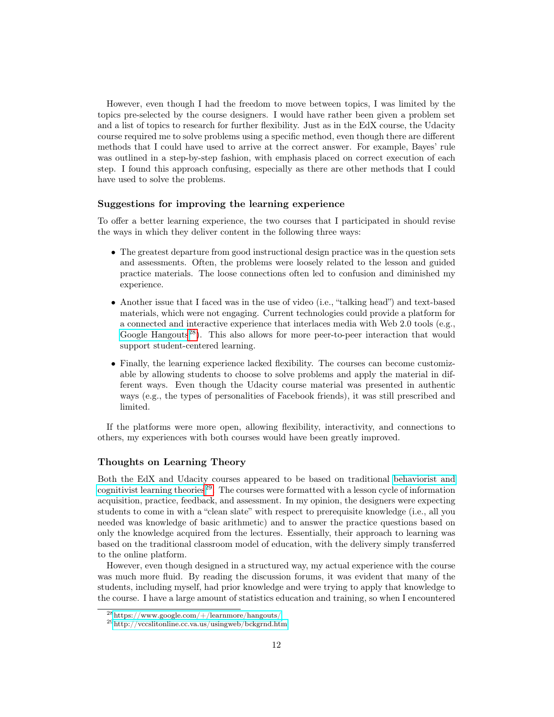However, even though I had the freedom to move between topics, I was limited by the topics pre-selected by the course designers. I would have rather been given a problem set and a list of topics to research for further flexibility. Just as in the EdX course, the Udacity course required me to solve problems using a specific method, even though there are different methods that I could have used to arrive at the correct answer. For example, Bayes' rule was outlined in a step-by-step fashion, with emphasis placed on correct execution of each step. I found this approach confusing, especially as there are other methods that I could have used to solve the problems.

## Suggestions for improving the learning experience

To offer a better learning experience, the two courses that I participated in should revise the ways in which they deliver content in the following three ways:

- The greatest departure from good instructional design practice was in the question sets and assessments. Often, the problems were loosely related to the lesson and guided practice materials. The loose connections often led to confusion and diminished my experience.
- Another issue that I faced was in the use of video (i.e., "talking head") and text-based materials, which were not engaging. Current technologies could provide a platform for a connected and interactive experience that interlaces media with Web 2.0 tools (e.g., [Google Hangouts](https://www.google.com/+/learnmore/hangouts/)<sup>[28](#page-11-0)</sup>). This also allows for more peer-to-peer interaction that would support student-centered learning.
- Finally, the learning experience lacked flexibility. The courses can become customizable by allowing students to choose to solve problems and apply the material in different ways. Even though the Udacity course material was presented in authentic ways (e.g., the types of personalities of Facebook friends), it was still prescribed and limited.

If the platforms were more open, allowing flexibility, interactivity, and connections to others, my experiences with both courses would have been greatly improved.

## Thoughts on Learning Theory

Both the EdX and Udacity courses appeared to be based on traditional [behaviorist and](http://vccslitonline.cc.va.us/usingweb/bckgrnd.htm) [cognitivist learning theories](http://vccslitonline.cc.va.us/usingweb/bckgrnd.htm)<sup>[29](#page-11-1)</sup>. The courses were formatted with a lesson cycle of information acquisition, practice, feedback, and assessment. In my opinion, the designers were expecting students to come in with a "clean slate" with respect to prerequisite knowledge (i.e., all you needed was knowledge of basic arithmetic) and to answer the practice questions based on only the knowledge acquired from the lectures. Essentially, their approach to learning was based on the traditional classroom model of education, with the delivery simply transferred to the online platform.

However, even though designed in a structured way, my actual experience with the course was much more fluid. By reading the discussion forums, it was evident that many of the students, including myself, had prior knowledge and were trying to apply that knowledge to the course. I have a large amount of statistics education and training, so when I encountered

<span id="page-11-0"></span><sup>28</sup><https://www.google.com/+/learnmore/hangouts/>

<span id="page-11-1"></span><sup>29</sup><http://vccslitonline.cc.va.us/usingweb/bckgrnd.htm>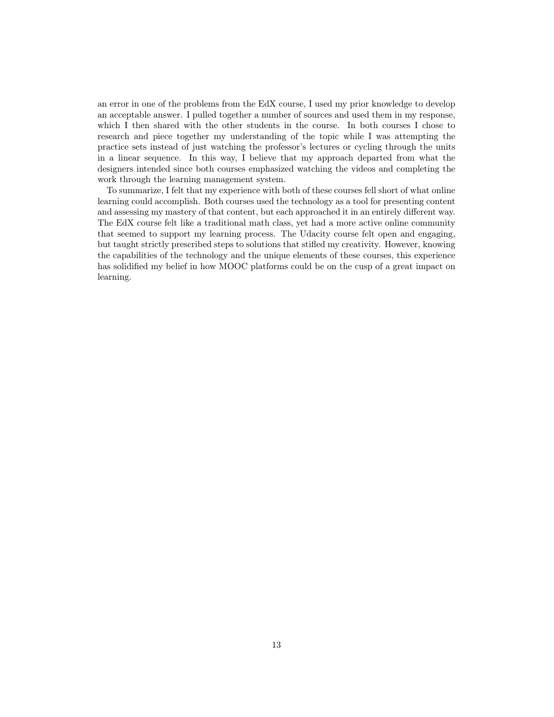an error in one of the problems from the EdX course, I used my prior knowledge to develop an acceptable answer. I pulled together a number of sources and used them in my response, which I then shared with the other students in the course. In both courses I chose to research and piece together my understanding of the topic while I was attempting the practice sets instead of just watching the professor's lectures or cycling through the units in a linear sequence. In this way, I believe that my approach departed from what the designers intended since both courses emphasized watching the videos and completing the work through the learning management system.

To summarize, I felt that my experience with both of these courses fell short of what online learning could accomplish. Both courses used the technology as a tool for presenting content and assessing my mastery of that content, but each approached it in an entirely different way. The EdX course felt like a traditional math class, yet had a more active online community that seemed to support my learning process. The Udacity course felt open and engaging, but taught strictly prescribed steps to solutions that stifled my creativity. However, knowing the capabilities of the technology and the unique elements of these courses, this experience has solidified my belief in how MOOC platforms could be on the cusp of a great impact on learning.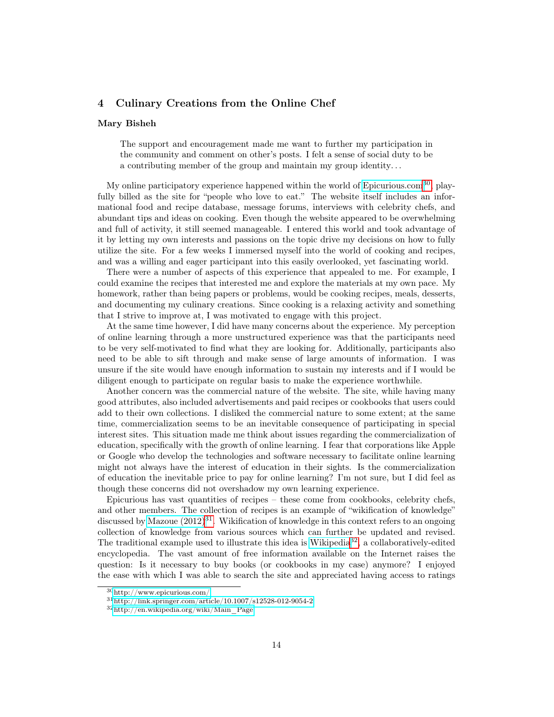## 4 Culinary Creations from the Online Chef

#### Mary Bisheh

The support and encouragement made me want to further my participation in the community and comment on other's posts. I felt a sense of social duty to be a contributing member of the group and maintain my group identity. . .

My online participatory experience happened within the world of [Epicurious.com](http://www.epicurious.com/)<sup>[30](#page-13-0)</sup>, playfully billed as the site for "people who love to eat." The website itself includes an informational food and recipe database, message forums, interviews with celebrity chefs, and abundant tips and ideas on cooking. Even though the website appeared to be overwhelming and full of activity, it still seemed manageable. I entered this world and took advantage of it by letting my own interests and passions on the topic drive my decisions on how to fully utilize the site. For a few weeks I immersed myself into the world of cooking and recipes, and was a willing and eager participant into this easily overlooked, yet fascinating world.

There were a number of aspects of this experience that appealed to me. For example, I could examine the recipes that interested me and explore the materials at my own pace. My homework, rather than being papers or problems, would be cooking recipes, meals, desserts, and documenting my culinary creations. Since cooking is a relaxing activity and something that I strive to improve at, I was motivated to engage with this project.

At the same time however, I did have many concerns about the experience. My perception of online learning through a more unstructured experience was that the participants need to be very self-motivated to find what they are looking for. Additionally, participants also need to be able to sift through and make sense of large amounts of information. I was unsure if the site would have enough information to sustain my interests and if I would be diligent enough to participate on regular basis to make the experience worthwhile.

Another concern was the commercial nature of the website. The site, while having many good attributes, also included advertisements and paid recipes or cookbooks that users could add to their own collections. I disliked the commercial nature to some extent; at the same time, commercialization seems to be an inevitable consequence of participating in special interest sites. This situation made me think about issues regarding the commercialization of education, specifically with the growth of online learning. I fear that corporations like Apple or Google who develop the technologies and software necessary to facilitate online learning might not always have the interest of education in their sights. Is the commercialization of education the inevitable price to pay for online learning? I'm not sure, but I did feel as though these concerns did not overshadow my own learning experience.

Epicurious has vast quantities of recipes – these come from cookbooks, celebrity chefs, and other members. The collection of recipes is an example of "wikification of knowledge" discussed by Mazoue  $(2012)^{31}$  $(2012)^{31}$  $(2012)^{31}$ . Wikification of knowledge in this context refers to an ongoing collection of knowledge from various sources which can further be updated and revised. The traditional example used to illustrate this idea is [Wikipedia](http://en.wikipedia.org/wiki/Main_Page)<sup>[32](#page-13-2)</sup>, a collaboratively-edited encyclopedia. The vast amount of free information available on the Internet raises the question: Is it necessary to buy books (or cookbooks in my case) anymore? I enjoyed the ease with which I was able to search the site and appreciated having access to ratings

<span id="page-13-0"></span><sup>30</sup><http://www.epicurious.com/>

<span id="page-13-1"></span><sup>31</sup><http://link.springer.com/article/10.1007/s12528-012-9054-2>

<span id="page-13-2"></span> $32$ http://en.wikipedia.org/wiki/Main Page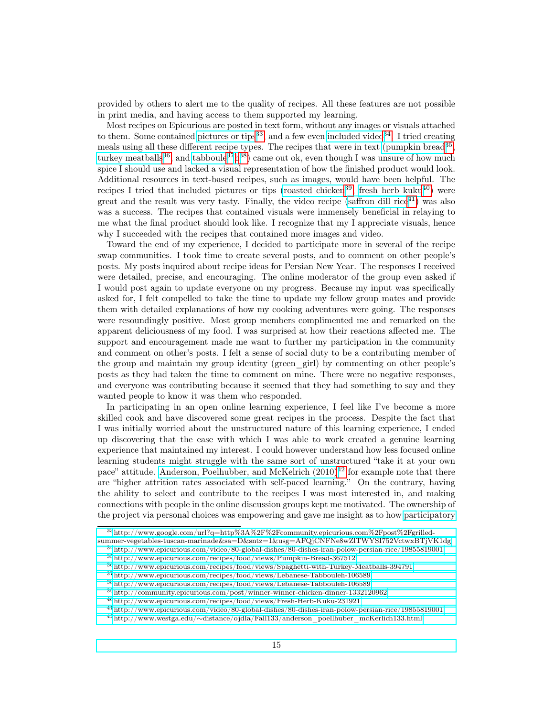provided by others to alert me to the quality of recipes. All these features are not possible in print media, and having access to them supported my learning.

Most recipes on Epicurious are posted in text form, without any images or visuals attached to them. Some contained [pictures or tips](http://www.google.com/url?q=http%3A%2F%2Fcommunity.epicurious.com%2Fpost%2Fgrilled-summer-vegetables-tuscan-marinade&sa=D&sntz=1&usg=AFQjCNFNe8wZlTWYSI752VctwxBTjVK1dg)<sup>[33](#page-14-0)</sup>, and a few even [included video](http://www.epicurious.com/video/80-global-dishes/80-dishes-iran-polow-persian-rice/19855819001)<sup>[34](#page-14-1)</sup>. I tried creating meals using all these different recipe types. The recipes that were in text [\(pumpkin bread](http://www.epicurious.com/recipes/food/views/Pumpkin-Bread-367512)<sup>[35](#page-14-2)</sup>, [turkey meatballs](http://www.epicurious.com/recipes/food/views/Spaghetti-with-Turkey-Meatballs-394791)<sup>[36](#page-14-3)</sup>, and [tabboule](http://www.epicurious.com/recipes/food/views/Lebanese-Tabbouleh-106589)<sup>[37](#page-14-4)</sup>[h](http://www.epicurious.com/recipes/food/views/Lebanese-Tabbouleh-106589)<sup>[38](#page-14-5)</sup>) came out ok, even though I was unsure of how much spice I should use and lacked a visual representation of how the finished product would look. Additional resources in text-based recipes, such as images, would have been helpful. The recipes I tried that included pictures or tips [\(roasted chicken](http://community.epicurious.com/post/winner-winner-chicken-dinner-1332120962)<sup>[39](#page-14-6)</sup>, [fresh herb kuku](http://www.epicurious.com/recipes/food/views/Fresh-Herb-Kuku-231921)<sup>[40](#page-14-7)</sup>) were great and the result was very tasty. Finally, the video recipe [\(saffron dill rice](http://www.epicurious.com/video/80-global-dishes/80-dishes-iran-polow-persian-rice/19855819001) $^{41}$  $^{41}$  $^{41}$ ) was also was a success. The recipes that contained visuals were immensely beneficial in relaying to me what the final product should look like. I recognize that my I appreciate visuals, hence why I succeeded with the recipes that contained more images and video.

Toward the end of my experience, I decided to participate more in several of the recipe swap communities. I took time to create several posts, and to comment on other people's posts. My posts inquired about recipe ideas for Persian New Year. The responses I received were detailed, precise, and encouraging. The online moderator of the group even asked if I would post again to update everyone on my progress. Because my input was specifically asked for, I felt compelled to take the time to update my fellow group mates and provide them with detailed explanations of how my cooking adventures were going. The responses were resoundingly positive. Most group members complimented me and remarked on the apparent deliciousness of my food. I was surprised at how their reactions affected me. The support and encouragement made me want to further my participation in the community and comment on other's posts. I felt a sense of social duty to be a contributing member of the group and maintain my group identity (green\_girl) by commenting on other people's posts as they had taken the time to comment on mine. There were no negative responses, and everyone was contributing because it seemed that they had something to say and they wanted people to know it was them who responded.

In participating in an open online learning experience, I feel like I've become a more skilled cook and have discovered some great recipes in the process. Despite the fact that I was initially worried about the unstructured nature of this learning experience, I ended up discovering that the ease with which I was able to work created a genuine learning experience that maintained my interest. I could however understand how less focused online learning students might struggle with the same sort of unstructured "take it at your own pace" attitude. Anderson, Poelhubber, and McKelrich  $(2010)^{42}$  $(2010)^{42}$  $(2010)^{42}$  for example note that there are "higher attrition rates associated with self-paced learning." On the contrary, having the ability to select and contribute to the recipes I was most interested in, and making connections with people in the online discussion groups kept me motivated. The ownership of the project via personal choices was empowering and gave me insight as to how [participatory](https://mitpress.mit.edu/books/confronting-challenges-participatory-culture)

<span id="page-14-0"></span><sup>33</sup>[http://www.google.com/url?q=http%3A%2F%2Fcommunity.epicurious.com%2Fpost%2Fgrilled-](https://mitpress.mit.edu/books/confronting-challenges-participatory-culture)

[summer-vegetables-tuscan-marinade&sa=D&sntz=1&usg=AFQjCNFNe8wZlTWYSI752VctwxBTjVK1dg](https://mitpress.mit.edu/books/confronting-challenges-participatory-culture)

<sup>34</sup>[http://www.epicurious.com/video/80-global-dishes/80-dishes-iran-polow-persian-rice/19855819001](https://mitpress.mit.edu/books/confronting-challenges-participatory-culture)

<span id="page-14-2"></span><span id="page-14-1"></span><sup>35</sup>[http://www.epicurious.com/recipes/food/views/Pumpkin-Bread-367512](https://mitpress.mit.edu/books/confronting-challenges-participatory-culture)

<span id="page-14-3"></span><sup>36</sup>[http://www.epicurious.com/recipes/food/views/Spaghetti-with-Turkey-Meatballs-394791](https://mitpress.mit.edu/books/confronting-challenges-participatory-culture)

<span id="page-14-4"></span><sup>37</sup>[http://www.epicurious.com/recipes/food/views/Lebanese-Tabbouleh-106589](https://mitpress.mit.edu/books/confronting-challenges-participatory-culture)

<span id="page-14-5"></span> $38$ [http://www.epicurious.com/recipes/food/views/Lebanese-Tabbouleh-106589](https://mitpress.mit.edu/books/confronting-challenges-participatory-culture)

<span id="page-14-6"></span><sup>39</sup>[http://community.epicurious.com/post/winner-winner-chicken-dinner-1332120962](https://mitpress.mit.edu/books/confronting-challenges-participatory-culture)

<span id="page-14-7"></span> $^{40}\mathrm{http://www.epicurious.com/recipes/food/views/Fresh-Herb-Kuku-231921}$  $^{40}\mathrm{http://www.epicurious.com/recipes/food/views/Fresh-Herb-Kuku-231921}$  $^{40}\mathrm{http://www.epicurious.com/recipes/food/views/Fresh-Herb-Kuku-231921}$ 

<span id="page-14-8"></span><sup>41</sup>[http://www.epicurious.com/video/80-global-dishes/80-dishes-iran-polow-persian-rice/19855819001](https://mitpress.mit.edu/books/confronting-challenges-participatory-culture)

<span id="page-14-9"></span><sup>42</sup>http://www.westga.edu/∼[distance/ojdla/Fall133/anderson\\_poellhuber\\_mcKerlich133.html](https://mitpress.mit.edu/books/confronting-challenges-participatory-culture)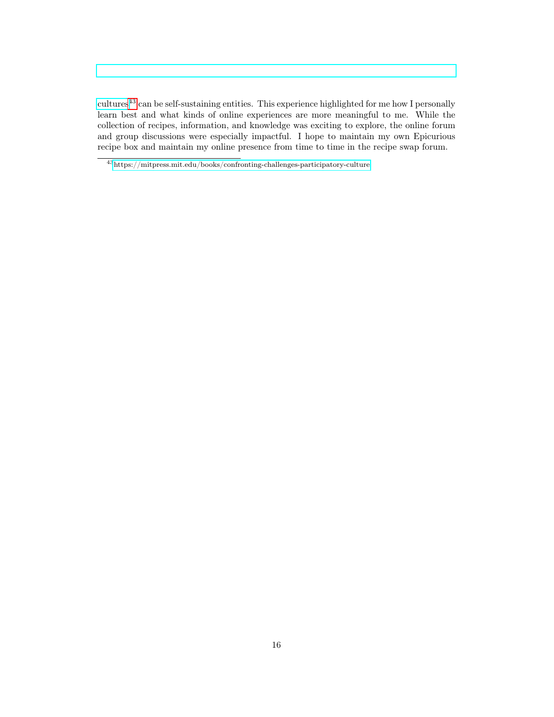[cultures](https://mitpress.mit.edu/books/confronting-challenges-participatory-culture)[43](#page-15-0) can be self-sustaining entities. This experience highlighted for me how I personally learn best and what kinds of online experiences are more meaningful to me. While the collection of recipes, information, and knowledge was exciting to explore, the online forum and group discussions were especially impactful. I hope to maintain my own Epicurious recipe box and maintain my online presence from time to time in the recipe swap forum.

<span id="page-15-0"></span> $^{\,43}{\rm https://mitpress.mit.edu/books/confirmerchallenges-participatory-culture}$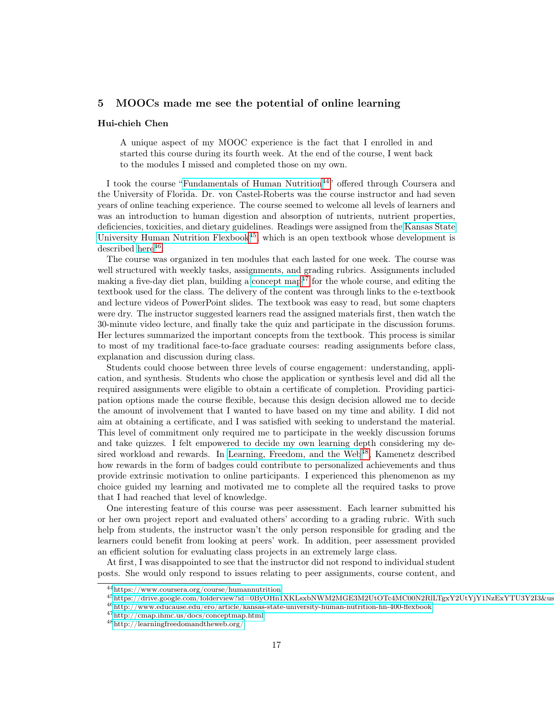## 5 MOOCs made me see the potential of online learning

#### Hui-chieh Chen

A unique aspect of my MOOC experience is the fact that I enrolled in and started this course during its fourth week. At the end of the course, I went back to the modules I missed and completed those on my own.

I took the course ["Fundamentals of Human Nutrition](https://www.coursera.org/course/humannutrition)<sup>[44](#page-16-0)</sup>" offered through Coursera and the University of Florida. Dr. von Castel-Roberts was the course instructor and had seven years of online teaching experience. The course seemed to welcome all levels of learners and was an introduction to human digestion and absorption of nutrients, nutrient properties, deficiencies, toxicities, and dietary guidelines. Readings were assigned from the [Kansas State](https://drive.google.com/folderview?id=0ByOHn1XKLsxbNWM2MGE3M2UtOTc4MC00N2RlLTgxY2UtYjY1NzExYTU3Y2I3&usp=drive_web&pli=1&hl=en) [University Human Nutrition Flexbook](https://drive.google.com/folderview?id=0ByOHn1XKLsxbNWM2MGE3M2UtOTc4MC00N2RlLTgxY2UtYjY1NzExYTU3Y2I3&usp=drive_web&pli=1&hl=en) $45$ , which is an open textbook whose development is  $described here<sup>46</sup>.$  $described here<sup>46</sup>.$  $described here<sup>46</sup>.$  $described here<sup>46</sup>.$  $described here<sup>46</sup>.$ 

The course was organized in ten modules that each lasted for one week. The course was well structured with weekly tasks, assignments, and grading rubrics. Assignments included making a five-day diet plan, building a [concept map](http://cmap.ihmc.us/docs/conceptmap.html)<sup> $47$ </sup> for the whole course, and editing the textbook used for the class. The delivery of the content was through links to the e-textbook and lecture videos of PowerPoint slides. The textbook was easy to read, but some chapters were dry. The instructor suggested learners read the assigned materials first, then watch the 30-minute video lecture, and finally take the quiz and participate in the discussion forums. Her lectures summarized the important concepts from the textbook. This process is similar to most of my traditional face-to-face graduate courses: reading assignments before class, explanation and discussion during class.

Students could choose between three levels of course engagement: understanding, application, and synthesis. Students who chose the application or synthesis level and did all the required assignments were eligible to obtain a certificate of completion. Providing participation options made the course flexible, because this design decision allowed me to decide the amount of involvement that I wanted to have based on my time and ability. I did not aim at obtaining a certificate, and I was satisfied with seeking to understand the material. This level of commitment only required me to participate in the weekly discussion forums and take quizzes. I felt empowered to decide my own learning depth considering my de-sired workload and rewards. In [Learning, Freedom, and the Web](http://learningfreedomandtheweb.org/)<sup>[48](#page-16-4)</sup>, Kamenetz described how rewards in the form of badges could contribute to personalized achievements and thus provide extrinsic motivation to online participants. I experienced this phenomenon as my choice guided my learning and motivated me to complete all the required tasks to prove that I had reached that level of knowledge.

One interesting feature of this course was peer assessment. Each learner submitted his or her own project report and evaluated others' according to a grading rubric. With such help from students, the instructor wasn't the only person responsible for grading and the learners could benefit from looking at peers' work. In addition, peer assessment provided an efficient solution for evaluating class projects in an extremely large class.

At first, I was disappointed to see that the instructor did not respond to individual student posts. She would only respond to issues relating to peer assignments, course content, and

<span id="page-16-0"></span><sup>44</sup><https://www.coursera.org/course/humannutrition>

<span id="page-16-1"></span> $^{45}$ https://drive.google.com/folderview?id=0ByOHn1XKLsxbNWM2MGE3M2UtOTc4MC00N2RlLTgxY2UtYjY1NzExYTU3Y2I3&us

<span id="page-16-2"></span> $^{46}\mathrm{http://www.educause.edu/ero/article/kansas-state-university-human-nutrition-hn-400-flexbook}$  $^{46}\mathrm{http://www.educause.edu/ero/article/kansas-state-university-human-nutrition-hn-400-flexbook}$  $^{46}\mathrm{http://www.educause.edu/ero/article/kansas-state-university-human-nutrition-hn-400-flexbook}$ 

<span id="page-16-3"></span><sup>47</sup><http://cmap.ihmc.us/docs/conceptmap.html>

<span id="page-16-4"></span><sup>48</sup><http://learningfreedomandtheweb.org/>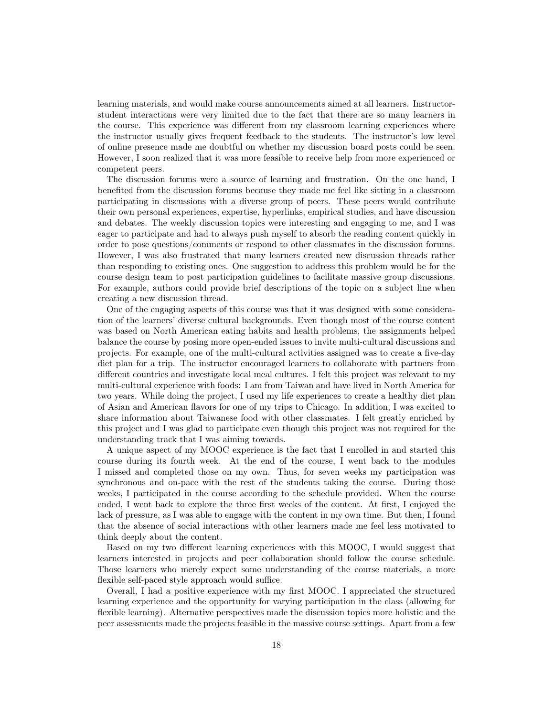learning materials, and would make course announcements aimed at all learners. Instructorstudent interactions were very limited due to the fact that there are so many learners in the course. This experience was different from my classroom learning experiences where the instructor usually gives frequent feedback to the students. The instructor's low level of online presence made me doubtful on whether my discussion board posts could be seen. However, I soon realized that it was more feasible to receive help from more experienced or competent peers.

The discussion forums were a source of learning and frustration. On the one hand, I benefited from the discussion forums because they made me feel like sitting in a classroom participating in discussions with a diverse group of peers. These peers would contribute their own personal experiences, expertise, hyperlinks, empirical studies, and have discussion and debates. The weekly discussion topics were interesting and engaging to me, and I was eager to participate and had to always push myself to absorb the reading content quickly in order to pose questions/comments or respond to other classmates in the discussion forums. However, I was also frustrated that many learners created new discussion threads rather than responding to existing ones. One suggestion to address this problem would be for the course design team to post participation guidelines to facilitate massive group discussions. For example, authors could provide brief descriptions of the topic on a subject line when creating a new discussion thread.

One of the engaging aspects of this course was that it was designed with some consideration of the learners' diverse cultural backgrounds. Even though most of the course content was based on North American eating habits and health problems, the assignments helped balance the course by posing more open-ended issues to invite multi-cultural discussions and projects. For example, one of the multi-cultural activities assigned was to create a five-day diet plan for a trip. The instructor encouraged learners to collaborate with partners from different countries and investigate local meal cultures. I felt this project was relevant to my multi-cultural experience with foods: I am from Taiwan and have lived in North America for two years. While doing the project, I used my life experiences to create a healthy diet plan of Asian and American flavors for one of my trips to Chicago. In addition, I was excited to share information about Taiwanese food with other classmates. I felt greatly enriched by this project and I was glad to participate even though this project was not required for the understanding track that I was aiming towards.

A unique aspect of my MOOC experience is the fact that I enrolled in and started this course during its fourth week. At the end of the course, I went back to the modules I missed and completed those on my own. Thus, for seven weeks my participation was synchronous and on-pace with the rest of the students taking the course. During those weeks, I participated in the course according to the schedule provided. When the course ended, I went back to explore the three first weeks of the content. At first, I enjoyed the lack of pressure, as I was able to engage with the content in my own time. But then, I found that the absence of social interactions with other learners made me feel less motivated to think deeply about the content.

Based on my two different learning experiences with this MOOC, I would suggest that learners interested in projects and peer collaboration should follow the course schedule. Those learners who merely expect some understanding of the course materials, a more flexible self-paced style approach would suffice.

Overall, I had a positive experience with my first MOOC. I appreciated the structured learning experience and the opportunity for varying participation in the class (allowing for flexible learning). Alternative perspectives made the discussion topics more holistic and the peer assessments made the projects feasible in the massive course settings. Apart from a few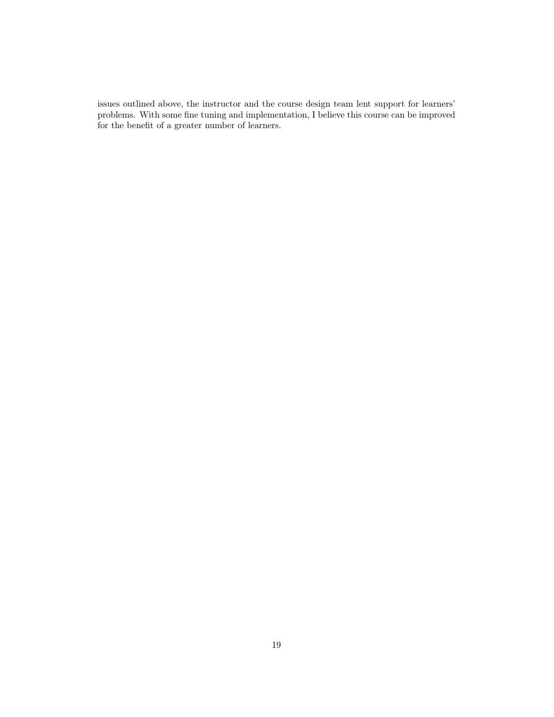issues outlined above, the instructor and the course design team lent support for learners' problems. With some fine tuning and implementation, I believe this course can be improved for the benefit of a greater number of learners.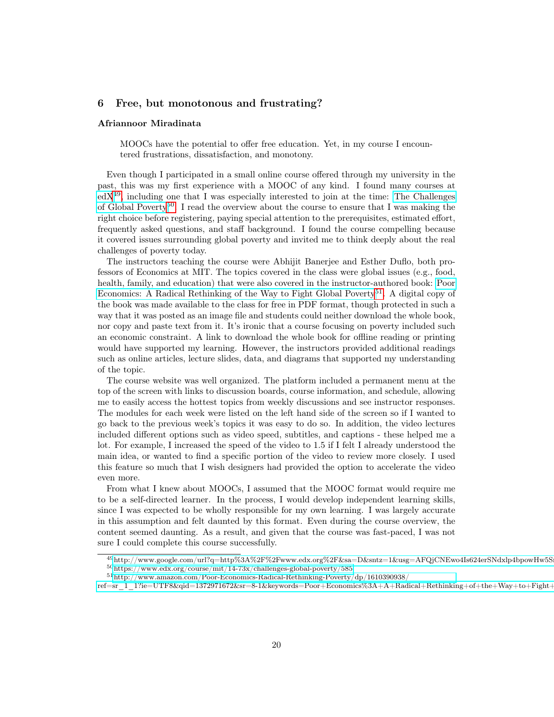## 6 Free, but monotonous and frustrating?

#### Afriannoor Miradinata

MOOCs have the potential to offer free education. Yet, in my course I encountered frustrations, dissatisfaction, and monotony.

Even though I participated in a small online course offered through my university in the past, this was my first experience with a MOOC of any kind. I found many courses at  $edX<sup>49</sup>$  $edX<sup>49</sup>$  $edX<sup>49</sup>$  $edX<sup>49</sup>$ , including one that I was especially interested to join at the time: [The Challenges](https://www.edx.org/course/mit/14-73x/challenges-global-poverty/585) [of Global Poverty](https://www.edx.org/course/mit/14-73x/challenges-global-poverty/585)<sup>[50](#page-19-1)</sup>. I read the overview about the course to ensure that I was making the right choice before registering, paying special attention to the prerequisites, estimated effort, frequently asked questions, and staff background. I found the course compelling because it covered issues surrounding global poverty and invited me to think deeply about the real challenges of poverty today.

The instructors teaching the course were Abhijit Banerjee and Esther Duflo, both professors of Economics at MIT. The topics covered in the class were global issues (e.g., food, health, family, and education) that were also covered in the instructor-authored book: [Poor](http://www.amazon.com/Poor-Economics-Radical-Rethinking-Poverty/dp/1610390938/ref=sr_1_1?ie=UTF8&qid=1372971672&sr=8-1&keywords=Poor+Economics%3A+A+Radical+Rethinking+of+the+Way+to+Fight+Global+Poverty) [Economics: A Radical Rethinking of the Way to Fight Global Poverty](http://www.amazon.com/Poor-Economics-Radical-Rethinking-Poverty/dp/1610390938/ref=sr_1_1?ie=UTF8&qid=1372971672&sr=8-1&keywords=Poor+Economics%3A+A+Radical+Rethinking+of+the+Way+to+Fight+Global+Poverty)<sup>[51](#page-19-2)</sup>. A digital copy of the book was made available to the class for free in PDF format, though protected in such a way that it was posted as an image file and students could neither download the whole book, nor copy and paste text from it. It's ironic that a course focusing on poverty included such an economic constraint. A link to download the whole book for offline reading or printing would have supported my learning. However, the instructors provided additional readings such as online articles, lecture slides, data, and diagrams that supported my understanding of the topic.

The course website was well organized. The platform included a permanent menu at the top of the screen with links to discussion boards, course information, and schedule, allowing me to easily access the hottest topics from weekly discussions and see instructor responses. The modules for each week were listed on the left hand side of the screen so if I wanted to go back to the previous week's topics it was easy to do so. In addition, the video lectures included different options such as video speed, subtitles, and captions - these helped me a lot. For example, I increased the speed of the video to 1.5 if I felt I already understood the main idea, or wanted to find a specific portion of the video to review more closely. I used this feature so much that I wish designers had provided the option to accelerate the video even more.

From what I knew about MOOCs, I assumed that the MOOC format would require me to be a self-directed learner. In the process, I would develop independent learning skills, since I was expected to be wholly responsible for my own learning. I was largely accurate in this assumption and felt daunted by this format. Even during the course overview, the content seemed daunting. As a result, and given that the course was fast-paced, I was not sure I could complete this course successfully.

<span id="page-19-1"></span><span id="page-19-0"></span> $^{49}$ http://www.google.com/url?q=http%3A%2F%2Fwww.edx.org%2F&sa=D&sntz=1&usg=AFQjCNEwo4Is624erSNdxlp4bpowHw5S  $^{50}$ <https://www.edx.org/course/mit/14-73x/challenges-global-poverty/585>

<span id="page-19-2"></span> $^{51}\mathrm{http://www.amazon.com/Poor-Economics-Radical-Rethinking-Poverty/dp/1610390938/}$  $^{51}\mathrm{http://www.amazon.com/Poor-Economics-Radical-Rethinking-Poverty/dp/1610390938/}$  $^{51}\mathrm{http://www.amazon.com/Poor-Economics-Radical-Rethinking-Poverty/dp/1610390938/}$ 

 $\label{eq:refs} \text{ref=sr\_1\_1?} \text{ie=UTF8&qid=1372971672&ssr=8-1&\text{keywords}=Poor+Economics\%3A+A+Radioal+Rethinking+of+the+Way+to+Fight+G=0\\ \text{if} \begin{align*} \text{ref=sr\_1\_1?} \text{else:} \end{align*} \text{else:} \begin{align*} \text{ref=sr\_1\_1?} \text{else:} \end{align*} \text{else:} \begin{align*} \text{ref=sr\_1\_1?} \text{else:} \end{align*} \text{else:} \begin{align*} \text{ref=sr\_1\_1?} \text$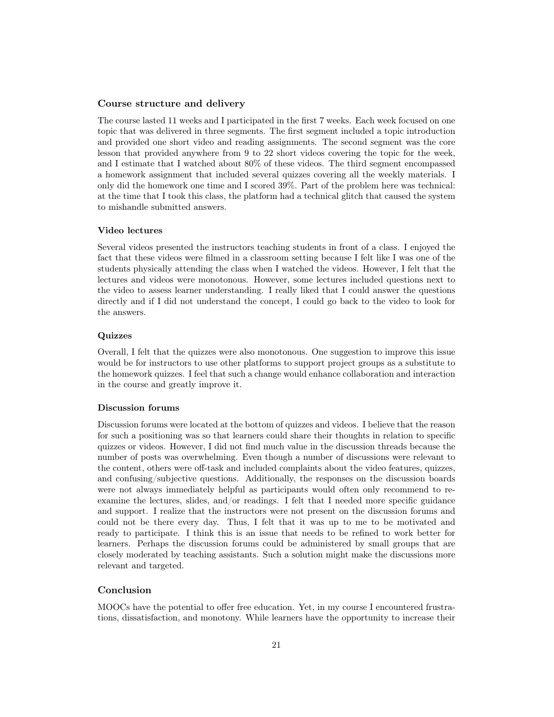## Course structure and delivery

The course lasted 11 weeks and I participated in the first 7 weeks. Each week focused on one topic that was delivered in three segments. The first segment included a topic introduction and provided one short video and reading assignments. The second segment was the core lesson that provided anywhere from 9 to 22 short videos covering the topic for the week, and I estimate that I watched about 80% of these videos. The third segment encompassed a homework assignment that included several quizzes covering all the weekly materials. I only did the homework one time and I scored 39%. Part of the problem here was technical: at the time that I took this class, the platform had a technical glitch that caused the system to mishandle submitted answers.

#### Video lectures

Several videos presented the instructors teaching students in front of a class. I enjoyed the fact that these videos were filmed in a classroom setting because I felt like I was one of the students physically attending the class when I watched the videos. However, I felt that the lectures and videos were monotonous. However, some lectures included questions next to the video to assess learner understanding. I really liked that I could answer the questions directly and if I did not understand the concept, I could go back to the video to look for the answers.

#### Quizzes

Overall, I felt that the quizzes were also monotonous. One suggestion to improve this issue would be for instructors to use other platforms to support project groups as a substitute to the homework quizzes. I feel that such a change would enhance collaboration and interaction in the course and greatly improve it.

#### Discussion forums

Discussion forums were located at the bottom of quizzes and videos. I believe that the reason for such a positioning was so that learners could share their thoughts in relation to specific quizzes or videos. However, I did not find much value in the discussion threads because the number of posts was overwhelming. Even though a number of discussions were relevant to the content, others were off-task and included complaints about the video features, quizzes, and confusing/subjective questions. Additionally, the responses on the discussion boards were not always immediately helpful as participants would often only recommend to reexamine the lectures, slides, and/or readings. I felt that I needed more specific guidance and support. I realize that the instructors were not present on the discussion forums and could not be there every day. Thus, I felt that it was up to me to be motivated and ready to participate. I think this is an issue that needs to be refined to work better for learners. Perhaps the discussion forums could be administered by small groups that are closely moderated by teaching assistants. Such a solution might make the discussions more relevant and targeted.

#### Conclusion

MOOCs have the potential to offer free education. Yet, in my course I encountered frustrations, dissatisfaction, and monotony. While learners have the opportunity to increase their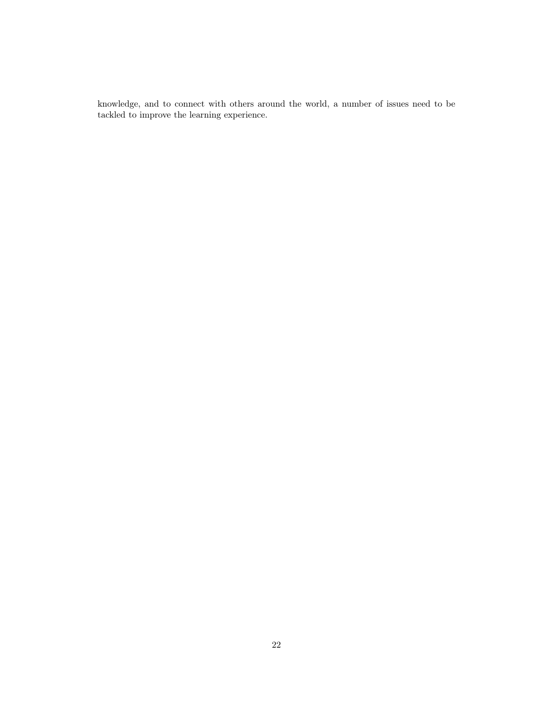knowledge, and to connect with others around the world, a number of issues need to be tackled to improve the learning experience.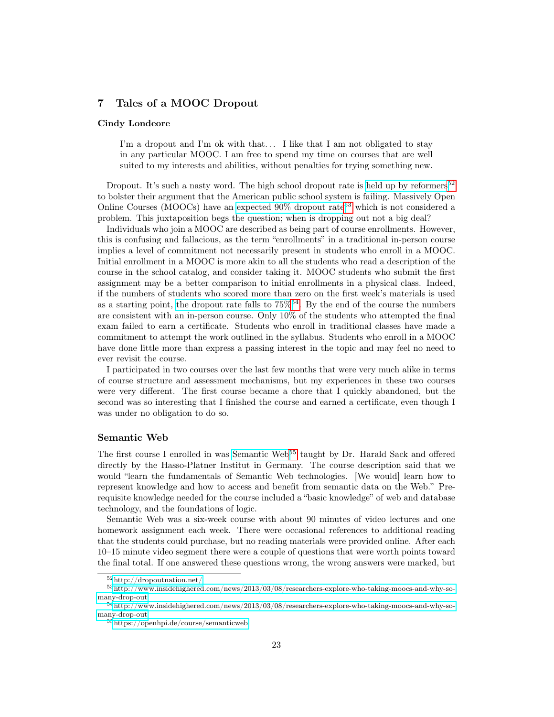## 7 Tales of a MOOC Dropout

#### Cindy Londeore

I'm a dropout and I'm ok with that... I like that I am not obligated to stay in any particular MOOC. I am free to spend my time on courses that are well suited to my interests and abilities, without penalties for trying something new.

Dropout. It's such a nasty word. The high school dropout rate is [held up by reformers](http://dropoutnation.net/)<sup>[52](#page-22-0)</sup> to bolster their argument that the American public school system is failing. Massively Open Online Courses (MOOCs) have an expected  $90\%$  dropout rate<sup>[53](#page-22-1)</sup> which is not considered a problem. This juxtaposition begs the question; when is dropping out not a big deal?

Individuals who join a MOOC are described as being part of course enrollments. However, this is confusing and fallacious, as the term "enrollments" in a traditional in-person course implies a level of commitment not necessarily present in students who enroll in a MOOC. Initial enrollment in a MOOC is more akin to all the students who read a description of the course in the school catalog, and consider taking it. MOOC students who submit the first assignment may be a better comparison to initial enrollments in a physical class. Indeed, if the numbers of students who scored more than zero on the first week's materials is used as a starting point, the dropout rate falls to  $75\%^{54}$  $75\%^{54}$  $75\%^{54}$ . By the end of the course the numbers are consistent with an in-person course. Only 10% of the students who attempted the final exam failed to earn a certificate. Students who enroll in traditional classes have made a commitment to attempt the work outlined in the syllabus. Students who enroll in a MOOC have done little more than express a passing interest in the topic and may feel no need to ever revisit the course.

I participated in two courses over the last few months that were very much alike in terms of course structure and assessment mechanisms, but my experiences in these two courses were very different. The first course became a chore that I quickly abandoned, but the second was so interesting that I finished the course and earned a certificate, even though I was under no obligation to do so.

## Semantic Web

The first course I enrolled in was [Semantic Web](https://openhpi.de/course/semanticweb)<sup>[55](#page-22-3)</sup> taught by Dr. Harald Sack and offered directly by the Hasso-Platner Institut in Germany. The course description said that we would "learn the fundamentals of Semantic Web technologies. [We would] learn how to represent knowledge and how to access and benefit from semantic data on the Web." Prerequisite knowledge needed for the course included a "basic knowledge" of web and database technology, and the foundations of logic.

Semantic Web was a six-week course with about 90 minutes of video lectures and one homework assignment each week. There were occasional references to additional reading that the students could purchase, but no reading materials were provided online. After each 10–15 minute video segment there were a couple of questions that were worth points toward the final total. If one answered these questions wrong, the wrong answers were marked, but

<span id="page-22-1"></span><span id="page-22-0"></span> $^{52}{\rm http://dropoutnation.net/}$  $^{52}{\rm http://dropoutnation.net/}$  $^{52}{\rm http://dropoutnation.net/}$ 

 $^{53}{\rm http://www.insidehighered.com/news/2013/03/08/researchers-explore-who-taking-moocs-and-why-so$ [many-drop-out](http://www.insidehighered.com/news/2013/03/08/researchers-explore-who-taking-moocs-and-why-so-many-drop-out)

<span id="page-22-2"></span> $^{54}$ [http://www.insidehighered.com/news/2013/03/08/researchers-explore-who-taking-moocs-and-why-so](http://www.insidehighered.com/news/2013/03/08/researchers-explore-who-taking-moocs-and-why-so-many-drop-out)[many-drop-out](http://www.insidehighered.com/news/2013/03/08/researchers-explore-who-taking-moocs-and-why-so-many-drop-out)

<span id="page-22-3"></span><sup>55</sup><https://openhpi.de/course/semanticweb>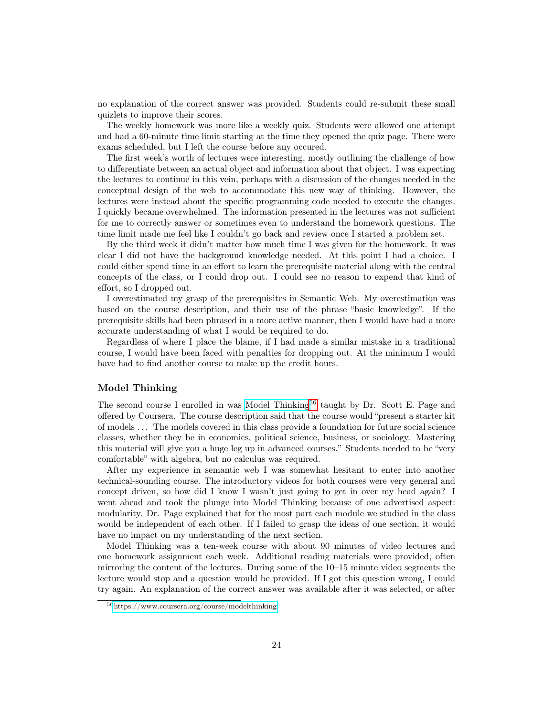no explanation of the correct answer was provided. Students could re-submit these small quizlets to improve their scores.

The weekly homework was more like a weekly quiz. Students were allowed one attempt and had a 60-minute time limit starting at the time they opened the quiz page. There were exams scheduled, but I left the course before any occured.

The first week's worth of lectures were interesting, mostly outlining the challenge of how to differentiate between an actual object and information about that object. I was expecting the lectures to continue in this vein, perhaps with a discussion of the changes needed in the conceptual design of the web to accommodate this new way of thinking. However, the lectures were instead about the specific programming code needed to execute the changes. I quickly became overwhelmed. The information presented in the lectures was not sufficient for me to correctly answer or sometimes even to understand the homework questions. The time limit made me feel like I couldn't go back and review once I started a problem set.

By the third week it didn't matter how much time I was given for the homework. It was clear I did not have the background knowledge needed. At this point I had a choice. I could either spend time in an effort to learn the prerequisite material along with the central concepts of the class, or I could drop out. I could see no reason to expend that kind of effort, so I dropped out.

I overestimated my grasp of the prerequisites in Semantic Web. My overestimation was based on the course description, and their use of the phrase "basic knowledge". If the prerequisite skills had been phrased in a more active manner, then I would have had a more accurate understanding of what I would be required to do.

Regardless of where I place the blame, if I had made a similar mistake in a traditional course, I would have been faced with penalties for dropping out. At the minimum I would have had to find another course to make up the credit hours.

## Model Thinking

The second course I enrolled in was [Model Thinking](https://www.coursera.org/course/modelthinking)<sup>[56](#page-23-0)</sup> taught by Dr. Scott E. Page and offered by Coursera. The course description said that the course would "present a starter kit of models . . . The models covered in this class provide a foundation for future social science classes, whether they be in economics, political science, business, or sociology. Mastering this material will give you a huge leg up in advanced courses." Students needed to be "very comfortable" with algebra, but no calculus was required.

After my experience in semantic web I was somewhat hesitant to enter into another technical-sounding course. The introductory videos for both courses were very general and concept driven, so how did I know I wasn't just going to get in over my head again? I went ahead and took the plunge into Model Thinking because of one advertised aspect: modularity. Dr. Page explained that for the most part each module we studied in the class would be independent of each other. If I failed to grasp the ideas of one section, it would have no impact on my understanding of the next section.

Model Thinking was a ten-week course with about 90 minutes of video lectures and one homework assignment each week. Additional reading materials were provided, often mirroring the content of the lectures. During some of the 10–15 minute video segments the lecture would stop and a question would be provided. If I got this question wrong, I could try again. An explanation of the correct answer was available after it was selected, or after

<span id="page-23-0"></span><sup>56</sup><https://www.coursera.org/course/modelthinking>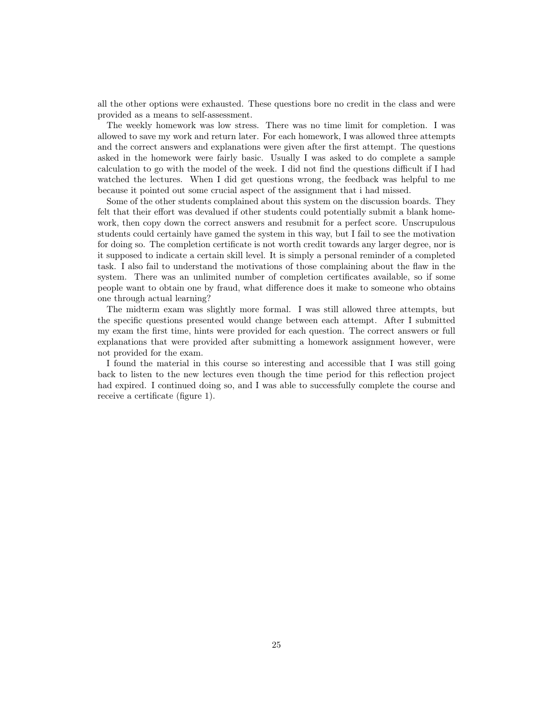all the other options were exhausted. These questions bore no credit in the class and were provided as a means to self-assessment.

The weekly homework was low stress. There was no time limit for completion. I was allowed to save my work and return later. For each homework, I was allowed three attempts and the correct answers and explanations were given after the first attempt. The questions asked in the homework were fairly basic. Usually I was asked to do complete a sample calculation to go with the model of the week. I did not find the questions difficult if I had watched the lectures. When I did get questions wrong, the feedback was helpful to me because it pointed out some crucial aspect of the assignment that i had missed.

Some of the other students complained about this system on the discussion boards. They felt that their effort was devalued if other students could potentially submit a blank homework, then copy down the correct answers and resubmit for a perfect score. Unscrupulous students could certainly have gamed the system in this way, but I fail to see the motivation for doing so. The completion certificate is not worth credit towards any larger degree, nor is it supposed to indicate a certain skill level. It is simply a personal reminder of a completed task. I also fail to understand the motivations of those complaining about the flaw in the system. There was an unlimited number of completion certificates available, so if some people want to obtain one by fraud, what difference does it make to someone who obtains one through actual learning?

The midterm exam was slightly more formal. I was still allowed three attempts, but the specific questions presented would change between each attempt. After I submitted my exam the first time, hints were provided for each question. The correct answers or full explanations that were provided after submitting a homework assignment however, were not provided for the exam.

I found the material in this course so interesting and accessible that I was still going back to listen to the new lectures even though the time period for this reflection project had expired. I continued doing so, and I was able to successfully complete the course and receive a certificate (figure 1).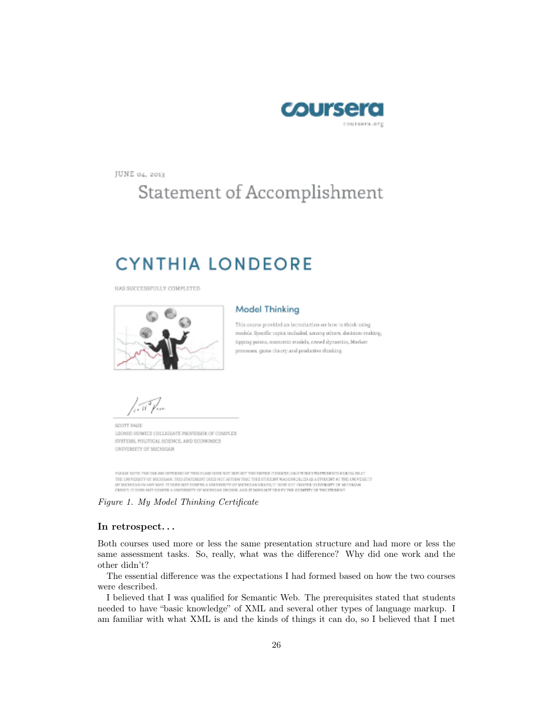

JUNE 04, 2013

# Statement of Accomplishment

# **CYNTHIA LONDEORE**

HAS SUCCESSFULLY COMPLETED



#### **Model Thinking**

This course provided an introduction on how to think using models. Specific topics included among others, decision-making. tipping points, economic models, crowd dynamics, Markov processes, game theory and predictive thinking.

SCOTT PAGE LEONID HUWICZ COLLEGIATE PROFESSOR OF COMPLEX SYSTEMS, POLITICAL SCIENCE, AND ECONOMICS UNIVERSITY OF MICHIGAN

PLEASE SCITE THE CALINE OFFISING OF THIS CLASS DOES NOT SEPLICT THE ENTER CUSSICULUM OFFISIES TO PERMITS ENECURIES. THE UNIVERSITY OF MICHIGAN. THIS STATEMENT DOES NOT AFFIDE THAT THIS STUDENT WAS ENDOLLED AS A STUDENT AT THE UNIVERSITY<br>OF MICHIGAN IN ANY WAY. IT DOES NOT COMPER A UNIVERSITY OF MICHIGAN CEARS IT DOES NOT OUTFUS UNIVERSI

Figure 1. My Model Thinking Certificate

## In retrospect. . .

Both courses used more or less the same presentation structure and had more or less the same assessment tasks. So, really, what was the difference? Why did one work and the other didn't?

The essential difference was the expectations I had formed based on how the two courses were described.

I believed that I was qualified for Semantic Web. The prerequisites stated that students needed to have "basic knowledge" of XML and several other types of language markup. I am familiar with what XML is and the kinds of things it can do, so I believed that I met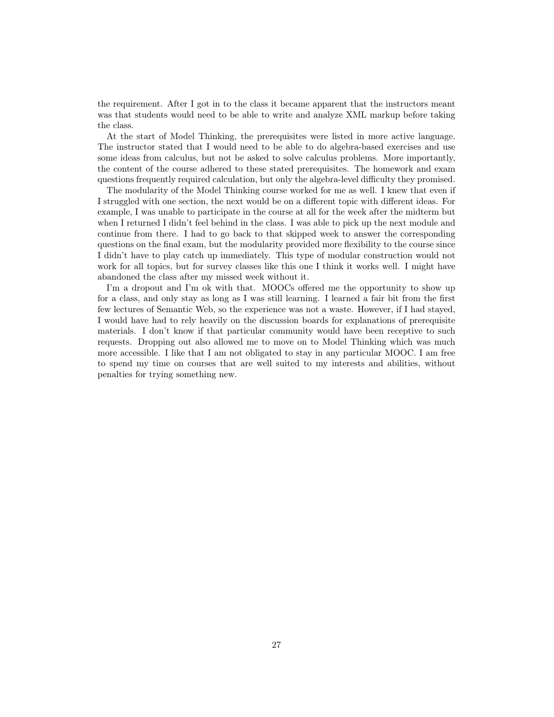the requirement. After I got in to the class it became apparent that the instructors meant was that students would need to be able to write and analyze XML markup before taking the class.

At the start of Model Thinking, the prerequisites were listed in more active language. The instructor stated that I would need to be able to do algebra-based exercises and use some ideas from calculus, but not be asked to solve calculus problems. More importantly, the content of the course adhered to these stated prerequisites. The homework and exam questions frequently required calculation, but only the algebra-level difficulty they promised.

The modularity of the Model Thinking course worked for me as well. I knew that even if I struggled with one section, the next would be on a different topic with different ideas. For example, I was unable to participate in the course at all for the week after the midterm but when I returned I didn't feel behind in the class. I was able to pick up the next module and continue from there. I had to go back to that skipped week to answer the corresponding questions on the final exam, but the modularity provided more flexibility to the course since I didn't have to play catch up immediately. This type of modular construction would not work for all topics, but for survey classes like this one I think it works well. I might have abandoned the class after my missed week without it.

I'm a dropout and I'm ok with that. MOOCs offered me the opportunity to show up for a class, and only stay as long as I was still learning. I learned a fair bit from the first few lectures of Semantic Web, so the experience was not a waste. However, if I had stayed, I would have had to rely heavily on the discussion boards for explanations of prerequisite materials. I don't know if that particular community would have been receptive to such requests. Dropping out also allowed me to move on to Model Thinking which was much more accessible. I like that I am not obligated to stay in any particular MOOC. I am free to spend my time on courses that are well suited to my interests and abilities, without penalties for trying something new.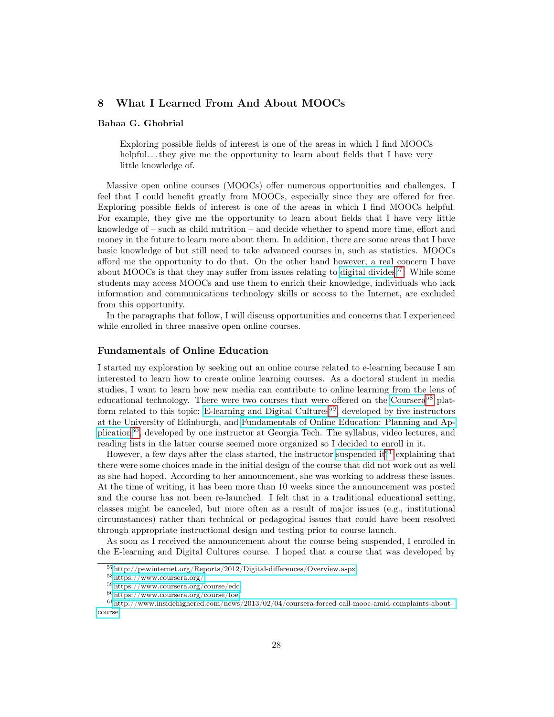## 8 What I Learned From And About MOOCs

#### Bahaa G. Ghobrial

Exploring possible fields of interest is one of the areas in which I find MOOCs helpful...they give me the opportunity to learn about fields that I have very little knowledge of.

Massive open online courses (MOOCs) offer numerous opportunities and challenges. I feel that I could benefit greatly from MOOCs, especially since they are offered for free. Exploring possible fields of interest is one of the areas in which I find MOOCs helpful. For example, they give me the opportunity to learn about fields that I have very little knowledge of – such as child nutrition – and decide whether to spend more time, effort and money in the future to learn more about them. In addition, there are some areas that I have basic knowledge of but still need to take advanced courses in, such as statistics. MOOCs afford me the opportunity to do that. On the other hand however, a real concern I have about MOOCs is that they may suffer from issues relating to [digital divides](http://pewinternet.org/Reports/2012/Digital-differences/Overview.aspx)<sup>[57](#page-27-0)</sup>: While some students may access MOOCs and use them to enrich their knowledge, individuals who lack information and communications technology skills or access to the Internet, are excluded from this opportunity.

In the paragraphs that follow, I will discuss opportunities and concerns that I experienced while enrolled in three massive open online courses.

#### Fundamentals of Online Education

I started my exploration by seeking out an online course related to e-learning because I am interested to learn how to create online learning courses. As a doctoral student in media studies, I want to learn how new media can contribute to online learning from the lens of educational technology. There were two courses that were offered on the [Coursera](https://www.coursera.org/)<sup>[58](#page-27-1)</sup> plat-form related to this topic: [E-learning and Digital Cultures](https://www.coursera.org/course/edc)<sup>[59](#page-27-2)</sup>, developed by five instructors at the University of Edinburgh, and [Fundamentals of Online Education: Planning and Ap](https://www.coursera.org/course/foe)[plication](https://www.coursera.org/course/foe)<sup>[60](#page-27-3)</sup>, developed by one instructor at Georgia Tech. The syllabus, video lectures, and reading lists in the latter course seemed more organized so I decided to enroll in it.

However, a few days after the class started, the instructor [suspended it](http://www.insidehighered.com/news/2013/02/04/coursera-forced-call-mooc-amid-complaints-about-course)<sup>[61](#page-27-4)</sup> explaining that there were some choices made in the initial design of the course that did not work out as well as she had hoped. According to her announcement, she was working to address these issues. At the time of writing, it has been more than 10 weeks since the announcement was posted and the course has not been re-launched. I felt that in a traditional educational setting, classes might be canceled, but more often as a result of major issues (e.g., institutional circumstances) rather than technical or pedagogical issues that could have been resolved through appropriate instructional design and testing prior to course launch.

As soon as I received the announcement about the course being suspended, I enrolled in the E-learning and Digital Cultures course. I hoped that a course that was developed by

<span id="page-27-0"></span><sup>57</sup><http://pewinternet.org/Reports/2012/Digital-differences/Overview.aspx>

<span id="page-27-1"></span> $^{58}{\rm https://www.coursera.org/}$  $^{58}{\rm https://www.coursera.org/}$  $^{58}{\rm https://www.coursera.org/}$ 

<span id="page-27-2"></span><sup>59</sup><https://www.coursera.org/course/edc>

<span id="page-27-4"></span><span id="page-27-3"></span><sup>60</sup><https://www.coursera.org/course/foe>

 $61$ [http://www.insidehighered.com/news/2013/02/04/coursera-forced-call-mooc-amid-complaints-about](http://www.insidehighered.com/news/2013/02/04/coursera-forced-call-mooc-amid-complaints-about-course)[course](http://www.insidehighered.com/news/2013/02/04/coursera-forced-call-mooc-amid-complaints-about-course)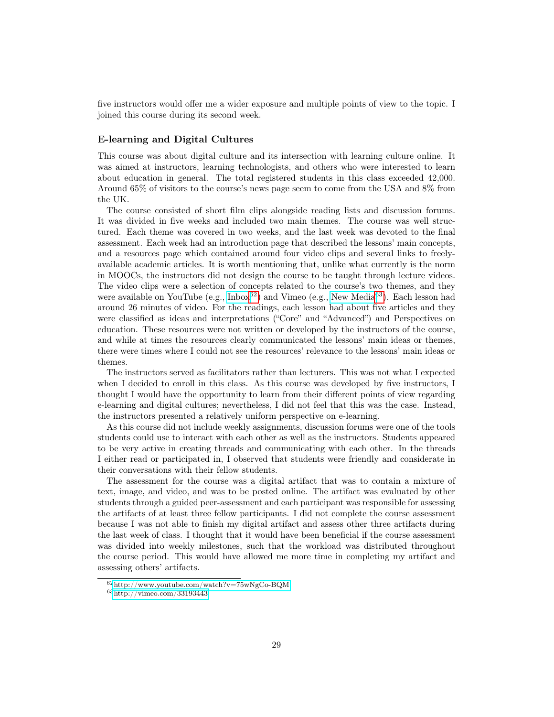five instructors would offer me a wider exposure and multiple points of view to the topic. I joined this course during its second week.

## E-learning and Digital Cultures

This course was about digital culture and its intersection with learning culture online. It was aimed at instructors, learning technologists, and others who were interested to learn about education in general. The total registered students in this class exceeded 42,000. Around 65% of visitors to the course's news page seem to come from the USA and 8% from the UK.

The course consisted of short film clips alongside reading lists and discussion forums. It was divided in five weeks and included two main themes. The course was well structured. Each theme was covered in two weeks, and the last week was devoted to the final assessment. Each week had an introduction page that described the lessons' main concepts, and a resources page which contained around four video clips and several links to freelyavailable academic articles. It is worth mentioning that, unlike what currently is the norm in MOOCs, the instructors did not design the course to be taught through lecture videos. The video clips were a selection of concepts related to the course's two themes, and they were available on YouTube (e.g., [Inbox](http://www.youtube.com/watch?v=75wNgCo-BQM)<sup>[62](#page-28-0)</sup>) and Vimeo (e.g., [New Media](http://vimeo.com/33193443)<sup>[63](#page-28-1)</sup>). Each lesson had around 26 minutes of video. For the readings, each lesson had about five articles and they were classified as ideas and interpretations ("Core" and "Advanced") and Perspectives on education. These resources were not written or developed by the instructors of the course, and while at times the resources clearly communicated the lessons' main ideas or themes, there were times where I could not see the resources' relevance to the lessons' main ideas or themes.

The instructors served as facilitators rather than lecturers. This was not what I expected when I decided to enroll in this class. As this course was developed by five instructors, I thought I would have the opportunity to learn from their different points of view regarding e-learning and digital cultures; nevertheless, I did not feel that this was the case. Instead, the instructors presented a relatively uniform perspective on e-learning.

As this course did not include weekly assignments, discussion forums were one of the tools students could use to interact with each other as well as the instructors. Students appeared to be very active in creating threads and communicating with each other. In the threads I either read or participated in, I observed that students were friendly and considerate in their conversations with their fellow students.

The assessment for the course was a digital artifact that was to contain a mixture of text, image, and video, and was to be posted online. The artifact was evaluated by other students through a guided peer-assessment and each participant was responsible for assessing the artifacts of at least three fellow participants. I did not complete the course assessment because I was not able to finish my digital artifact and assess other three artifacts during the last week of class. I thought that it would have been beneficial if the course assessment was divided into weekly milestones, such that the workload was distributed throughout the course period. This would have allowed me more time in completing my artifact and assessing others' artifacts.

<span id="page-28-0"></span> $62$ <http://www.youtube.com/watch?v=75wNgCo-BQM>

<span id="page-28-1"></span><sup>63</sup><http://vimeo.com/33193443>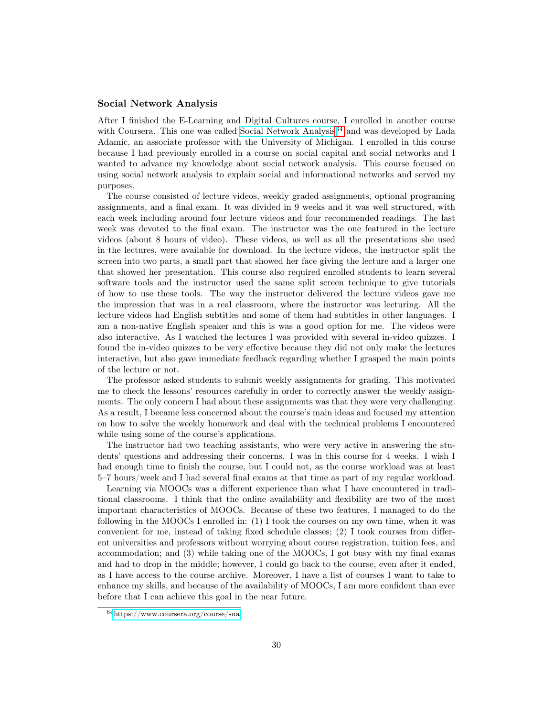## Social Network Analysis

After I finished the E-Learning and Digital Cultures course, I enrolled in another course with Coursera. This one was called [Social Network Analysis](https://www.coursera.org/course/sna)<sup>[64](#page-29-0)</sup> and was developed by Lada Adamic, an associate professor with the University of Michigan. I enrolled in this course because I had previously enrolled in a course on social capital and social networks and I wanted to advance my knowledge about social network analysis. This course focused on using social network analysis to explain social and informational networks and served my purposes.

The course consisted of lecture videos, weekly graded assignments, optional programing assignments, and a final exam. It was divided in 9 weeks and it was well structured, with each week including around four lecture videos and four recommended readings. The last week was devoted to the final exam. The instructor was the one featured in the lecture videos (about 8 hours of video). These videos, as well as all the presentations she used in the lectures, were available for download. In the lecture videos, the instructor split the screen into two parts, a small part that showed her face giving the lecture and a larger one that showed her presentation. This course also required enrolled students to learn several software tools and the instructor used the same split screen technique to give tutorials of how to use these tools. The way the instructor delivered the lecture videos gave me the impression that was in a real classroom, where the instructor was lecturing. All the lecture videos had English subtitles and some of them had subtitles in other languages. I am a non-native English speaker and this is was a good option for me. The videos were also interactive. As I watched the lectures I was provided with several in-video quizzes. I found the in-video quizzes to be very effective because they did not only make the lectures interactive, but also gave immediate feedback regarding whether I grasped the main points of the lecture or not.

The professor asked students to submit weekly assignments for grading. This motivated me to check the lessons' resources carefully in order to correctly answer the weekly assignments. The only concern I had about these assignments was that they were very challenging. As a result, I became less concerned about the course's main ideas and focused my attention on how to solve the weekly homework and deal with the technical problems I encountered while using some of the course's applications.

The instructor had two teaching assistants, who were very active in answering the students' questions and addressing their concerns. I was in this course for 4 weeks. I wish I had enough time to finish the course, but I could not, as the course workload was at least 5–7 hours/week and I had several final exams at that time as part of my regular workload.

Learning via MOOCs was a different experience than what I have encountered in traditional classrooms. I think that the online availability and flexibility are two of the most important characteristics of MOOCs. Because of these two features, I managed to do the following in the MOOCs I enrolled in: (1) I took the courses on my own time, when it was convenient for me, instead of taking fixed schedule classes; (2) I took courses from different universities and professors without worrying about course registration, tuition fees, and accommodation; and (3) while taking one of the MOOCs, I got busy with my final exams and had to drop in the middle; however, I could go back to the course, even after it ended, as I have access to the course archive. Moreover, I have a list of courses I want to take to enhance my skills, and because of the availability of MOOCs, I am more confident than ever before that I can achieve this goal in the near future.

<span id="page-29-0"></span><sup>64</sup><https://www.coursera.org/course/sna>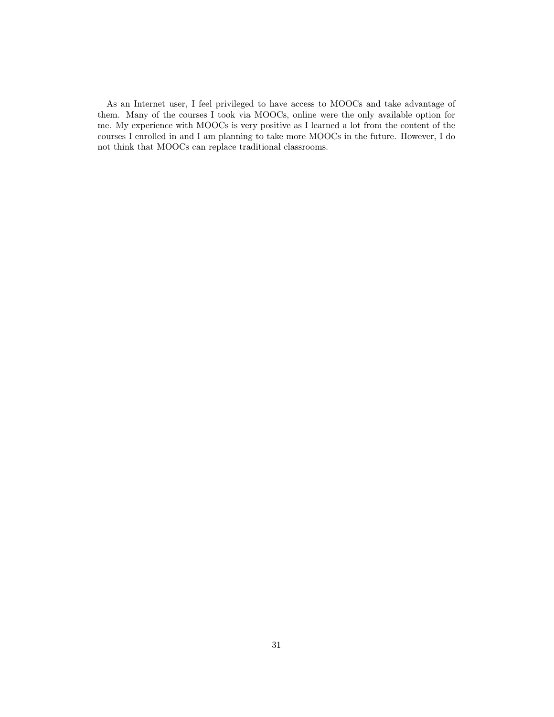As an Internet user, I feel privileged to have access to MOOCs and take advantage of them. Many of the courses I took via MOOCs, online were the only available option for me. My experience with MOOCs is very positive as I learned a lot from the content of the courses I enrolled in and I am planning to take more MOOCs in the future. However, I do not think that MOOCs can replace traditional classrooms.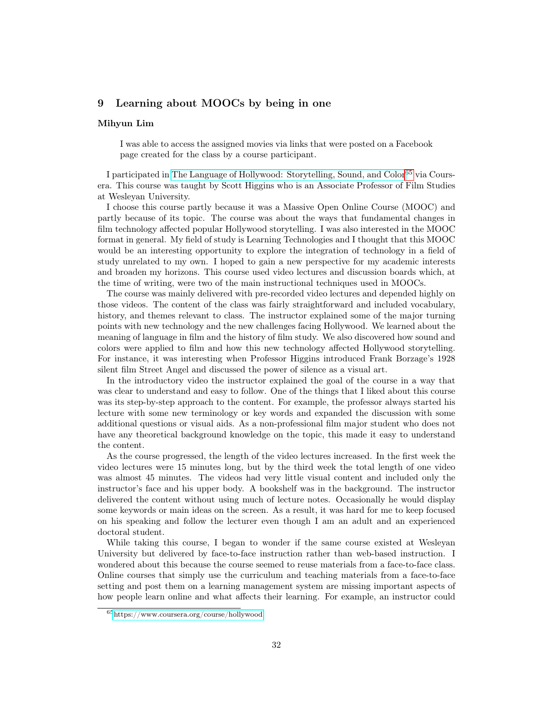## 9 Learning about MOOCs by being in one

#### Mihyun Lim

I was able to access the assigned movies via links that were posted on a Facebook page created for the class by a course participant.

I participated in [The Language of Hollywood: Storytelling, Sound, and Color](https://www.coursera.org/course/hollywood)[65](#page-31-0) via Coursera. This course was taught by Scott Higgins who is an Associate Professor of Film Studies at Wesleyan University.

I choose this course partly because it was a Massive Open Online Course (MOOC) and partly because of its topic. The course was about the ways that fundamental changes in film technology affected popular Hollywood storytelling. I was also interested in the MOOC format in general. My field of study is Learning Technologies and I thought that this MOOC would be an interesting opportunity to explore the integration of technology in a field of study unrelated to my own. I hoped to gain a new perspective for my academic interests and broaden my horizons. This course used video lectures and discussion boards which, at the time of writing, were two of the main instructional techniques used in MOOCs.

The course was mainly delivered with pre-recorded video lectures and depended highly on those videos. The content of the class was fairly straightforward and included vocabulary, history, and themes relevant to class. The instructor explained some of the major turning points with new technology and the new challenges facing Hollywood. We learned about the meaning of language in film and the history of film study. We also discovered how sound and colors were applied to film and how this new technology affected Hollywood storytelling. For instance, it was interesting when Professor Higgins introduced Frank Borzage's 1928 silent film Street Angel and discussed the power of silence as a visual art.

In the introductory video the instructor explained the goal of the course in a way that was clear to understand and easy to follow. One of the things that I liked about this course was its step-by-step approach to the content. For example, the professor always started his lecture with some new terminology or key words and expanded the discussion with some additional questions or visual aids. As a non-professional film major student who does not have any theoretical background knowledge on the topic, this made it easy to understand the content.

As the course progressed, the length of the video lectures increased. In the first week the video lectures were 15 minutes long, but by the third week the total length of one video was almost 45 minutes. The videos had very little visual content and included only the instructor's face and his upper body. A bookshelf was in the background. The instructor delivered the content without using much of lecture notes. Occasionally he would display some keywords or main ideas on the screen. As a result, it was hard for me to keep focused on his speaking and follow the lecturer even though I am an adult and an experienced doctoral student.

While taking this course, I began to wonder if the same course existed at Wesleyan University but delivered by face-to-face instruction rather than web-based instruction. I wondered about this because the course seemed to reuse materials from a face-to-face class. Online courses that simply use the curriculum and teaching materials from a face-to-face setting and post them on a learning management system are missing important aspects of how people learn online and what affects their learning. For example, an instructor could

<span id="page-31-0"></span><sup>65</sup><https://www.coursera.org/course/hollywood>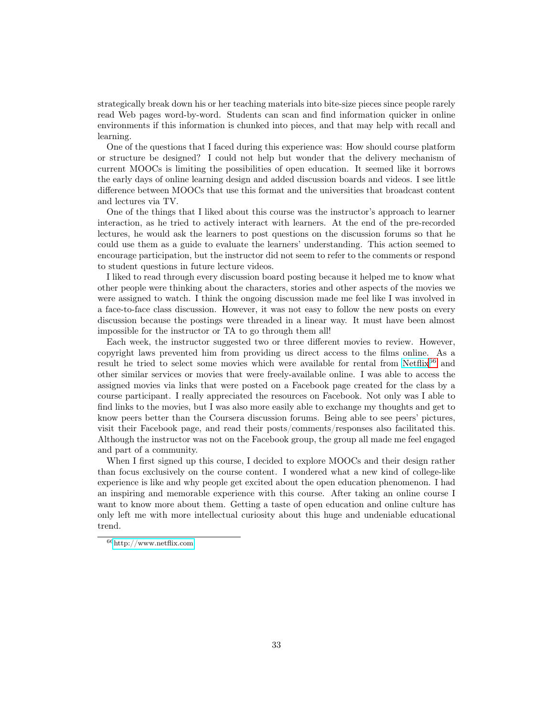strategically break down his or her teaching materials into bite-size pieces since people rarely read Web pages word-by-word. Students can scan and find information quicker in online environments if this information is chunked into pieces, and that may help with recall and learning.

One of the questions that I faced during this experience was: How should course platform or structure be designed? I could not help but wonder that the delivery mechanism of current MOOCs is limiting the possibilities of open education. It seemed like it borrows the early days of online learning design and added discussion boards and videos. I see little difference between MOOCs that use this format and the universities that broadcast content and lectures via TV.

One of the things that I liked about this course was the instructor's approach to learner interaction, as he tried to actively interact with learners. At the end of the pre-recorded lectures, he would ask the learners to post questions on the discussion forums so that he could use them as a guide to evaluate the learners' understanding. This action seemed to encourage participation, but the instructor did not seem to refer to the comments or respond to student questions in future lecture videos.

I liked to read through every discussion board posting because it helped me to know what other people were thinking about the characters, stories and other aspects of the movies we were assigned to watch. I think the ongoing discussion made me feel like I was involved in a face-to-face class discussion. However, it was not easy to follow the new posts on every discussion because the postings were threaded in a linear way. It must have been almost impossible for the instructor or TA to go through them all!

Each week, the instructor suggested two or three different movies to review. However, copyright laws prevented him from providing us direct access to the films online. As a result he tried to select some movies which were available for rental from [Netflix](http://www.netflix.com)<sup>[66](#page-32-0)</sup> and other similar services or movies that were freely-available online. I was able to access the assigned movies via links that were posted on a Facebook page created for the class by a course participant. I really appreciated the resources on Facebook. Not only was I able to find links to the movies, but I was also more easily able to exchange my thoughts and get to know peers better than the Coursera discussion forums. Being able to see peers' pictures, visit their Facebook page, and read their posts/comments/responses also facilitated this. Although the instructor was not on the Facebook group, the group all made me feel engaged and part of a community.

When I first signed up this course, I decided to explore MOOCs and their design rather than focus exclusively on the course content. I wondered what a new kind of college-like experience is like and why people get excited about the open education phenomenon. I had an inspiring and memorable experience with this course. After taking an online course I want to know more about them. Getting a taste of open education and online culture has only left me with more intellectual curiosity about this huge and undeniable educational trend.

<span id="page-32-0"></span><sup>66</sup><http://www.netflix.com>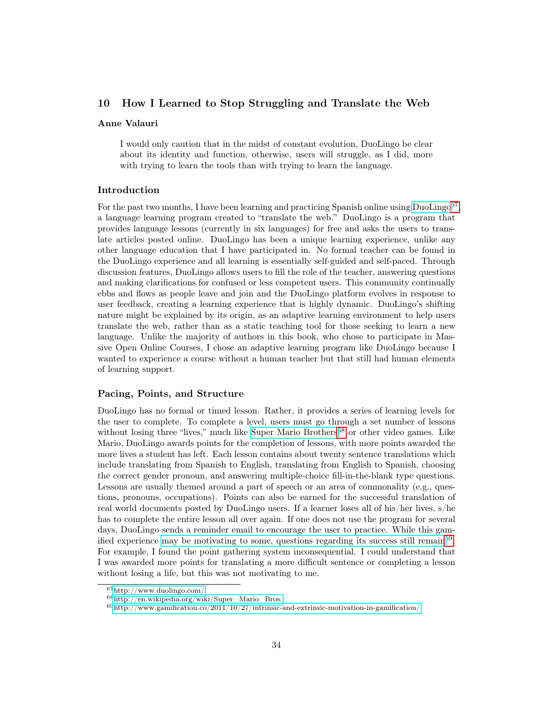## 10 How I Learned to Stop Struggling and Translate the Web

#### Anne Valauri

I would only caution that in the midst of constant evolution, DuoLingo be clear about its identity and function, otherwise, users will struggle, as I did, more with trying to learn the tools than with trying to learn the language.

#### Introduction

For the past two months, I have been learning and practicing Spanish online using [DuoLingo](http://www.duolingo.com/)<sup>[67](#page-33-0)</sup>, a language learning program created to "translate the web." DuoLingo is a program that provides language lessons (currently in six languages) for free and asks the users to translate articles posted online. DuoLingo has been a unique learning experience, unlike any other language education that I have participated in. No formal teacher can be found in the DuoLingo experience and all learning is essentially self-guided and self-paced. Through discussion features, DuoLingo allows users to fill the role of the teacher, answering questions and making clarifications for confused or less competent users. This community continually ebbs and flows as people leave and join and the DuoLingo platform evolves in response to user feedback, creating a learning experience that is highly dynamic. DuoLingo's shifting nature might be explained by its origin, as an adaptive learning environment to help users translate the web, rather than as a static teaching tool for those seeking to learn a new language. Unlike the majority of authors in this book, who chose to participate in Massive Open Online Courses, I chose an adaptive learning program like DuoLingo because I wanted to experience a course without a human teacher but that still had human elements of learning support.

## Pacing, Points, and Structure

DuoLingo has no formal or timed lesson. Rather, it provides a series of learning levels for the user to complete. To complete a level, users must go through a set number of lessons without losing three "lives," much like [Super Mario Brothers](http://en.wikipedia.org/wiki/Super_Mario_Bros.)<sup>[68](#page-33-1)</sup> or other video games. Like Mario, DuoLingo awards points for the completion of lessons, with more points awarded the more lives a student has left. Each lesson contains about twenty sentence translations which include translating from Spanish to English, translating from English to Spanish, choosing the correct gender pronoun, and answering multiple-choice fill-in-the-blank type questions. Lessons are usually themed around a part of speech or an area of commonality (e.g., questions, pronouns, occupations). Points can also be earned for the successful translation of real world documents posted by DuoLingo users. If a learner loses all of his/her lives, s/he has to complete the entire lesson all over again. If one does not use the program for several days, DuoLingo sends a reminder email to encourage the user to practice. While this gamified experience [may be motivating to some, questions regarding its success still remain](http://www.gamification.co/2011/10/27/intrinsic-and-extrinsic-motivation-in-gamification/)<sup>[69](#page-33-2)</sup>. For example, I found the point gathering system inconsequential. I could understand that I was awarded more points for translating a more difficult sentence or completing a lesson without losing a life, but this was not motivating to me.

<span id="page-33-0"></span> $67$ <http://www.duolingo.com/>

<span id="page-33-1"></span> $68$ [http://en.wikipedia.org/wiki/Super\\_Mario\\_Bros.](http://en.wikipedia.org/wiki/Super_Mario_Bros.)

<span id="page-33-2"></span> $^{69}$ <http://www.gamification.co/2011/10/27/intrinsic-and-extrinsic-motivation-in-gamification/>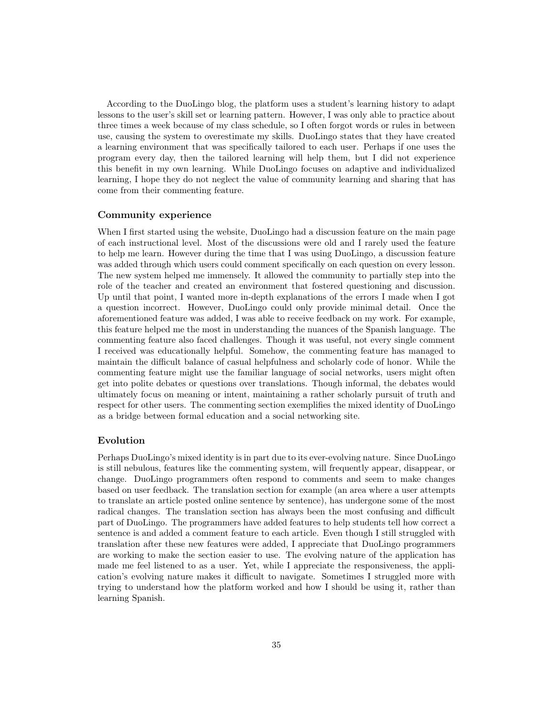According to the DuoLingo blog, the platform uses a student's learning history to adapt lessons to the user's skill set or learning pattern. However, I was only able to practice about three times a week because of my class schedule, so I often forgot words or rules in between use, causing the system to overestimate my skills. DuoLingo states that they have created a learning environment that was specifically tailored to each user. Perhaps if one uses the program every day, then the tailored learning will help them, but I did not experience this benefit in my own learning. While DuoLingo focuses on adaptive and individualized learning, I hope they do not neglect the value of community learning and sharing that has come from their commenting feature.

#### Community experience

When I first started using the website, DuoLingo had a discussion feature on the main page of each instructional level. Most of the discussions were old and I rarely used the feature to help me learn. However during the time that I was using DuoLingo, a discussion feature was added through which users could comment specifically on each question on every lesson. The new system helped me immensely. It allowed the community to partially step into the role of the teacher and created an environment that fostered questioning and discussion. Up until that point, I wanted more in-depth explanations of the errors I made when I got a question incorrect. However, DuoLingo could only provide minimal detail. Once the aforementioned feature was added, I was able to receive feedback on my work. For example, this feature helped me the most in understanding the nuances of the Spanish language. The commenting feature also faced challenges. Though it was useful, not every single comment I received was educationally helpful. Somehow, the commenting feature has managed to maintain the difficult balance of casual helpfulness and scholarly code of honor. While the commenting feature might use the familiar language of social networks, users might often get into polite debates or questions over translations. Though informal, the debates would ultimately focus on meaning or intent, maintaining a rather scholarly pursuit of truth and respect for other users. The commenting section exemplifies the mixed identity of DuoLingo as a bridge between formal education and a social networking site.

## Evolution

Perhaps DuoLingo's mixed identity is in part due to its ever-evolving nature. Since DuoLingo is still nebulous, features like the commenting system, will frequently appear, disappear, or change. DuoLingo programmers often respond to comments and seem to make changes based on user feedback. The translation section for example (an area where a user attempts to translate an article posted online sentence by sentence), has undergone some of the most radical changes. The translation section has always been the most confusing and difficult part of DuoLingo. The programmers have added features to help students tell how correct a sentence is and added a comment feature to each article. Even though I still struggled with translation after these new features were added, I appreciate that DuoLingo programmers are working to make the section easier to use. The evolving nature of the application has made me feel listened to as a user. Yet, while I appreciate the responsiveness, the application's evolving nature makes it difficult to navigate. Sometimes I struggled more with trying to understand how the platform worked and how I should be using it, rather than learning Spanish.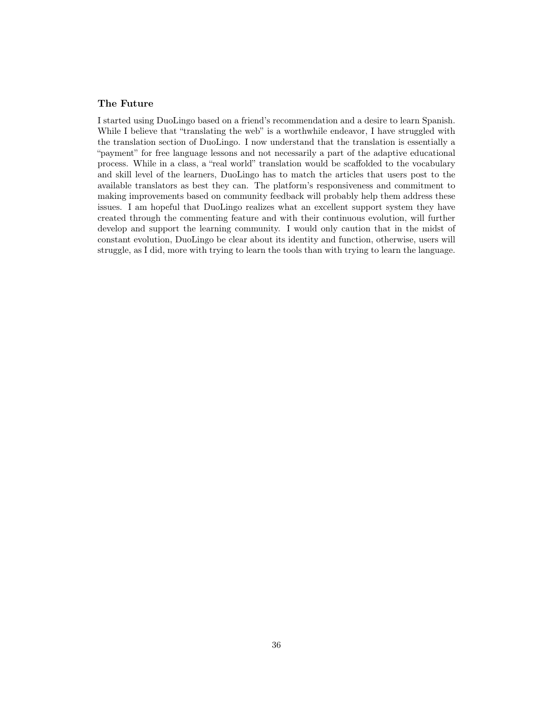## The Future

I started using DuoLingo based on a friend's recommendation and a desire to learn Spanish. While I believe that "translating the web" is a worthwhile endeavor, I have struggled with the translation section of DuoLingo. I now understand that the translation is essentially a "payment" for free language lessons and not necessarily a part of the adaptive educational process. While in a class, a "real world" translation would be scaffolded to the vocabulary and skill level of the learners, DuoLingo has to match the articles that users post to the available translators as best they can. The platform's responsiveness and commitment to making improvements based on community feedback will probably help them address these issues. I am hopeful that DuoLingo realizes what an excellent support system they have created through the commenting feature and with their continuous evolution, will further develop and support the learning community. I would only caution that in the midst of constant evolution, DuoLingo be clear about its identity and function, otherwise, users will struggle, as I did, more with trying to learn the tools than with trying to learn the language.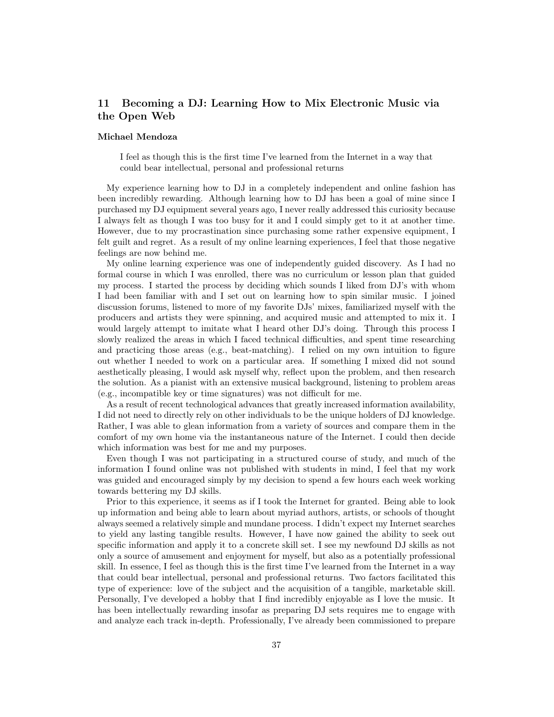## 11 Becoming a DJ: Learning How to Mix Electronic Music via the Open Web

#### Michael Mendoza

I feel as though this is the first time I've learned from the Internet in a way that could bear intellectual, personal and professional returns

My experience learning how to DJ in a completely independent and online fashion has been incredibly rewarding. Although learning how to DJ has been a goal of mine since I purchased my DJ equipment several years ago, I never really addressed this curiosity because I always felt as though I was too busy for it and I could simply get to it at another time. However, due to my procrastination since purchasing some rather expensive equipment, I felt guilt and regret. As a result of my online learning experiences, I feel that those negative feelings are now behind me.

My online learning experience was one of independently guided discovery. As I had no formal course in which I was enrolled, there was no curriculum or lesson plan that guided my process. I started the process by deciding which sounds I liked from DJ's with whom I had been familiar with and I set out on learning how to spin similar music. I joined discussion forums, listened to more of my favorite DJs' mixes, familiarized myself with the producers and artists they were spinning, and acquired music and attempted to mix it. I would largely attempt to imitate what I heard other DJ's doing. Through this process I slowly realized the areas in which I faced technical difficulties, and spent time researching and practicing those areas (e.g., beat-matching). I relied on my own intuition to figure out whether I needed to work on a particular area. If something I mixed did not sound aesthetically pleasing, I would ask myself why, reflect upon the problem, and then research the solution. As a pianist with an extensive musical background, listening to problem areas (e.g., incompatible key or time signatures) was not difficult for me.

As a result of recent technological advances that greatly increased information availability, I did not need to directly rely on other individuals to be the unique holders of DJ knowledge. Rather, I was able to glean information from a variety of sources and compare them in the comfort of my own home via the instantaneous nature of the Internet. I could then decide which information was best for me and my purposes.

Even though I was not participating in a structured course of study, and much of the information I found online was not published with students in mind, I feel that my work was guided and encouraged simply by my decision to spend a few hours each week working towards bettering my DJ skills.

Prior to this experience, it seems as if I took the Internet for granted. Being able to look up information and being able to learn about myriad authors, artists, or schools of thought always seemed a relatively simple and mundane process. I didn't expect my Internet searches to yield any lasting tangible results. However, I have now gained the ability to seek out specific information and apply it to a concrete skill set. I see my newfound DJ skills as not only a source of amusement and enjoyment for myself, but also as a potentially professional skill. In essence, I feel as though this is the first time I've learned from the Internet in a way that could bear intellectual, personal and professional returns. Two factors facilitated this type of experience: love of the subject and the acquisition of a tangible, marketable skill. Personally, I've developed a hobby that I find incredibly enjoyable as I love the music. It has been intellectually rewarding insofar as preparing DJ sets requires me to engage with and analyze each track in-depth. Professionally, I've already been commissioned to prepare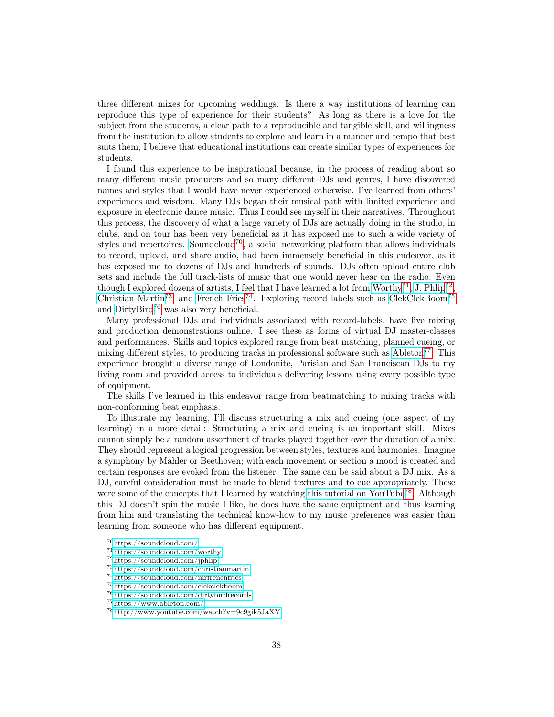three different mixes for upcoming weddings. Is there a way institutions of learning can reproduce this type of experience for their students? As long as there is a love for the subject from the students, a clear path to a reproducible and tangible skill, and willingness from the institution to allow students to explore and learn in a manner and tempo that best suits them, I believe that educational institutions can create similar types of experiences for students.

I found this experience to be inspirational because, in the process of reading about so many different music producers and so many different DJs and genres, I have discovered names and styles that I would have never experienced otherwise. I've learned from others' experiences and wisdom. Many DJs began their musical path with limited experience and exposure in electronic dance music. Thus I could see myself in their narratives. Throughout this process, the discovery of what a large variety of DJs are actually doing in the studio, in clubs, and on tour has been very beneficial as it has exposed me to such a wide variety of styles and repertoires. [Soundcloud](https://soundcloud.com/)<sup>[70](#page-37-0)</sup>, a social networking platform that allows individuals to record, upload, and share audio, had been immensely beneficial in this endeavor, as it has exposed me to dozens of DJs and hundreds of sounds. DJs often upload entire club sets and include the full track-lists of music that one would never hear on the radio. Even though I explored dozens of artists, I feel that I have learned a lot from [Worthy](https://soundcloud.com/worthy)<sup>[71](#page-37-1)</sup>, [J. Phlip](https://soundcloud.com/jphlip)<sup>[72](#page-37-2)</sup>, [Christian Martin](https://soundcloud.com/christianmartin)<sup>[73](#page-37-3)</sup>, and [French Fries](https://soundcloud.com/mrfrenchfries)<sup>[74](#page-37-4)</sup>. Exploring record labels such as [ClekClekBoom](https://soundcloud.com/clekclekboom)<sup>[75](#page-37-5)</sup> and [DirtyBird](https://soundcloud.com/dirtybirdrecords)[76](#page-37-6) was also very beneficial.

Many professional DJs and individuals associated with record-labels, have live mixing and production demonstrations online. I see these as forms of virtual DJ master-classes and performances. Skills and topics explored range from beat matching, planned cueing, or mixing different styles, to producing tracks in professional software such as  $\text{Abbeton}^{77}$  $\text{Abbeton}^{77}$  $\text{Abbeton}^{77}$ . This experience brought a diverse range of Londonite, Parisian and San Franciscan DJs to my living room and provided access to individuals delivering lessons using every possible type of equipment.

The skills I've learned in this endeavor range from beatmatching to mixing tracks with non-conforming beat emphasis.

To illustrate my learning, I'll discuss structuring a mix and cueing (one aspect of my learning) in a more detail: Structuring a mix and cueing is an important skill. Mixes cannot simply be a random assortment of tracks played together over the duration of a mix. They should represent a logical progression between styles, textures and harmonies. Imagine a symphony by Mahler or Beethoven; with each movement or section a mood is created and certain responses are evoked from the listener. The same can be said about a DJ mix. As a DJ, careful consideration must be made to blend textures and to cue appropriately. These were some of the concepts that I learned by watching [this tutorial on YouTube](http://www.youtube.com/watch?v=9c9gik5JaXY)<sup>[78](#page-37-8)</sup>. Although this DJ doesn't spin the music I like, he does have the same equipment and thus learning from him and translating the technical know-how to my music preference was easier than learning from someone who has different equipment.

<span id="page-37-0"></span><sup>70</sup><https://soundcloud.com/>

<span id="page-37-1"></span><sup>71</sup><https://soundcloud.com/worthy>

<span id="page-37-2"></span> $^{72}{\rm https://soundcloud.com/jphlip}$  $^{72}{\rm https://soundcloud.com/jphlip}$  $^{72}{\rm https://soundcloud.com/jphlip}$ 

<span id="page-37-3"></span><sup>73</sup><https://soundcloud.com/christianmartin>

<span id="page-37-4"></span><sup>74</sup><https://soundcloud.com/mrfrenchfries>

<span id="page-37-5"></span><sup>75</sup><https://soundcloud.com/clekclekboom>

<span id="page-37-6"></span><sup>76</sup><https://soundcloud.com/dirtybirdrecords>

<span id="page-37-7"></span><sup>77</sup><https://www.ableton.com/>

<span id="page-37-8"></span><sup>78</sup><http://www.youtube.com/watch?v=9c9gik5JaXY>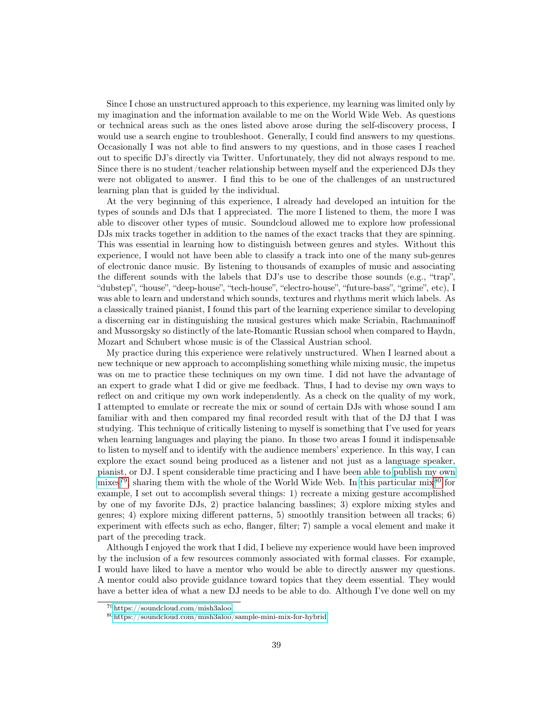Since I chose an unstructured approach to this experience, my learning was limited only by my imagination and the information available to me on the World Wide Web. As questions or technical areas such as the ones listed above arose during the self-discovery process, I would use a search engine to troubleshoot. Generally, I could find answers to my questions. Occasionally I was not able to find answers to my questions, and in those cases I reached out to specific DJ's directly via Twitter. Unfortunately, they did not always respond to me. Since there is no student/teacher relationship between myself and the experienced DJs they were not obligated to answer. I find this to be one of the challenges of an unstructured learning plan that is guided by the individual.

At the very beginning of this experience, I already had developed an intuition for the types of sounds and DJs that I appreciated. The more I listened to them, the more I was able to discover other types of music. Soundcloud allowed me to explore how professional DJs mix tracks together in addition to the names of the exact tracks that they are spinning. This was essential in learning how to distinguish between genres and styles. Without this experience, I would not have been able to classify a track into one of the many sub-genres of electronic dance music. By listening to thousands of examples of music and associating the different sounds with the labels that DJ's use to describe those sounds (e.g., "trap", "dubstep", "house", "deep-house", "tech-house", "electro-house", "future-bass", "grime", etc), I was able to learn and understand which sounds, textures and rhythms merit which labels. As a classically trained pianist, I found this part of the learning experience similar to developing a discerning ear in distinguishing the musical gestures which make Scriabin, Rachmaninoff and Mussorgsky so distinctly of the late-Romantic Russian school when compared to Haydn, Mozart and Schubert whose music is of the Classical Austrian school.

My practice during this experience were relatively unstructured. When I learned about a new technique or new approach to accomplishing something while mixing music, the impetus was on me to practice these techniques on my own time. I did not have the advantage of an expert to grade what I did or give me feedback. Thus, I had to devise my own ways to reflect on and critique my own work independently. As a check on the quality of my work, I attempted to emulate or recreate the mix or sound of certain DJs with whose sound I am familiar with and then compared my final recorded result with that of the DJ that I was studying. This technique of critically listening to myself is something that I've used for years when learning languages and playing the piano. In those two areas I found it indispensable to listen to myself and to identify with the audience members' experience. In this way, I can explore the exact sound being produced as a listener and not just as a language speaker, pianist, or DJ. I spent considerable time practicing and I have been able to [publish my own](https://soundcloud.com/mish3aloo) [mixes](https://soundcloud.com/mish3aloo)<sup>[79](#page-38-0)</sup>, sharing them with the whole of the World Wide Web. In [this particular mix](https://soundcloud.com/mish3aloo/sample-mini-mix-for-hybrid)<sup>[80](#page-38-1)</sup> for example, I set out to accomplish several things: 1) recreate a mixing gesture accomplished by one of my favorite DJs, 2) practice balancing basslines; 3) explore mixing styles and genres; 4) explore mixing different patterns, 5) smoothly transition between all tracks; 6) experiment with effects such as echo, flanger, filter; 7) sample a vocal element and make it part of the preceding track.

Although I enjoyed the work that I did, I believe my experience would have been improved by the inclusion of a few resources commonly associated with formal classes. For example, I would have liked to have a mentor who would be able to directly answer my questions. A mentor could also provide guidance toward topics that they deem essential. They would have a better idea of what a new DJ needs to be able to do. Although I've done well on my

<span id="page-38-0"></span><sup>79</sup><https://soundcloud.com/mish3aloo>

<span id="page-38-1"></span><sup>80</sup><https://soundcloud.com/mish3aloo/sample-mini-mix-for-hybrid>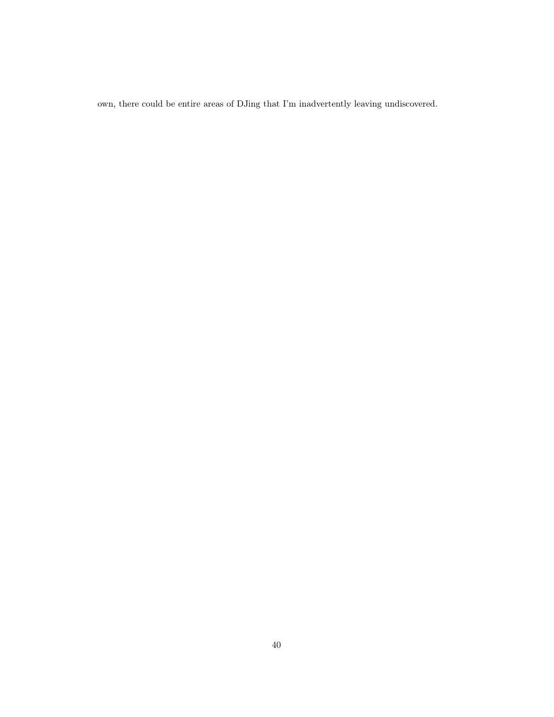own, there could be entire areas of DJing that I'm inadvertently leaving undiscovered.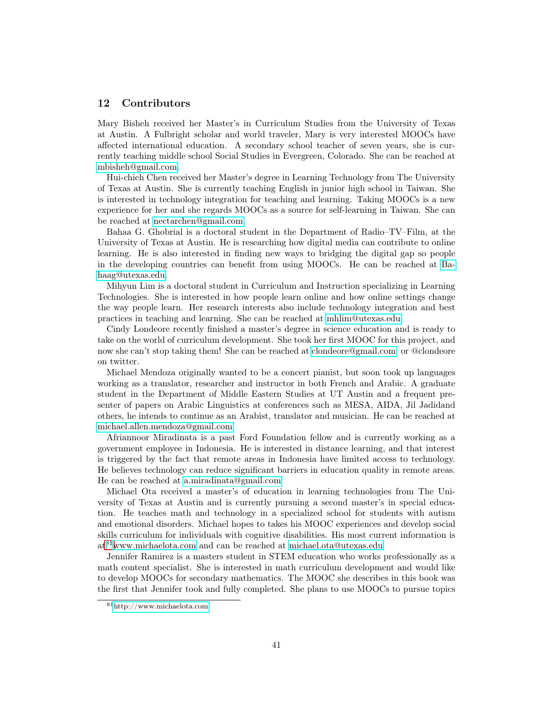## 12 Contributors

Mary Bisheh received her Master's in Curriculum Studies from the University of Texas at Austin. A Fulbright scholar and world traveler, Mary is very interested MOOCs have affected international education. A secondary school teacher of seven years, she is currently teaching middle school Social Studies in Evergreen, Colorado. She can be reached at [mbisheh@gmail.com.](mailto:mbisheh@gmail.com)

Hui-chieh Chen received her Master's degree in Learning Technology from The University of Texas at Austin. She is currently teaching English in junior high school in Taiwan. She is interested in technology integration for teaching and learning. Taking MOOCs is a new experience for her and she regards MOOCs as a source for self-learning in Taiwan. She can be reached at [nectarchen@gmail.com.](mailto:nectarchen@gmail.com)

Bahaa G. Ghobrial is a doctoral student in the Department of Radio–TV–Film, at the University of Texas at Austin. He is researching how digital media can contribute to online learning. He is also interested in finding new ways to bridging the digital gap so people in the developing countries can benefit from using MOOCs. He can be reached at [Ba](mailto:Bahaag@utexas.edu)[haag@utexas.edu.](mailto:Bahaag@utexas.edu)

Mihyun Lim is a doctoral student in Curriculum and Instruction specializing in Learning Technologies. She is interested in how people learn online and how online settings change the way people learn. Her research interests also include technology integration and best practices in teaching and learning. She can be reached at [mhlim@utexas.edu.](mailto:mhlim@utexas.edu)

Cindy Londeore recently finished a master's degree in science education and is ready to take on the world of curriculum development. She took her first MOOC for this project, and now she can't stop taking them! She can be reached at [clondeore@gmail.com,](mailto:clondeore@gmail.com) or @clondeore on twitter.

Michael Mendoza originally wanted to be a concert pianist, but soon took up languages working as a translator, researcher and instructor in both French and Arabic. A graduate student in the Department of Middle Eastern Studies at UT Austin and a frequent presenter of papers on Arabic Linguistics at conferences such as MESA, AIDA, Jil Jadidand others, he intends to continue as an Arabist, translator and musician. He can be reached at [michael.allen.mendoza@gmail.com](mailto:michael.allen.mendoza@gmail.com)

Afriannoor Miradinata is a past Ford Foundation fellow and is currently working as a government employee in Indonesia. He is interested in distance learning, and that interest is triggered by the fact that remote areas in Indonesia have limited access to technology. He believes technology can reduce significant barriers in education quality in remote areas. He can be reached at [a.miradinata@gmail.com](mailto:a.miradinata@gmail.com)

Michael Ota received a master's of education in learning technologies from The University of Texas at Austin and is currently pursuing a second master's in special education. He teaches math and technology in a specialized school for students with autism and emotional disorders. Michael hopes to takes his MOOC experiences and develop social skills curriculum for individuals with cognitive disabilities. His most current information is at[81](#page-40-0)[www.michaelota.com](http://www.michaelota.com) and can be reached at [michael.ota@utexas.edu](mailto:michael.ota@utexas.edu)

Jennifer Ramirez is a masters student in STEM education who works professionally as a math content specialist. She is interested in math curriculum development and would like to develop MOOCs for secondary mathematics. The MOOC she describes in this book was the first that Jennifer took and fully completed. She plans to use MOOCs to pursue topics

<span id="page-40-0"></span><sup>81</sup><http://www.michaelota.com>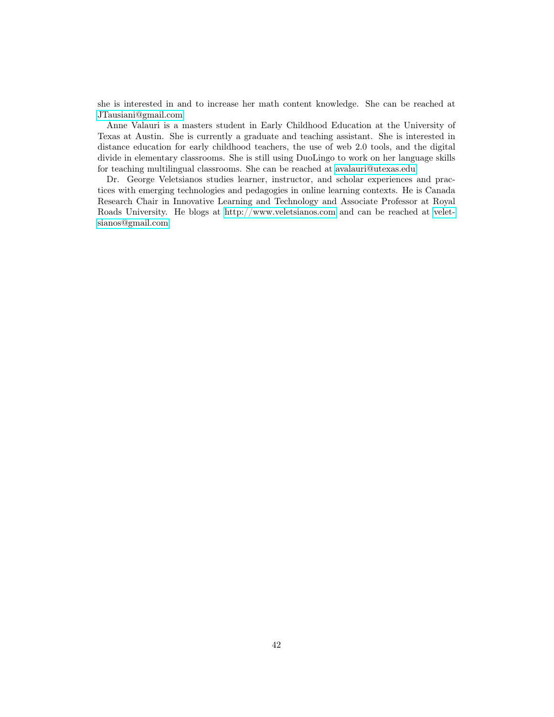she is interested in and to increase her math content knowledge. She can be reached at [JTausiani@gmail.com](mailto:JTausiani@gmail.com)

Anne Valauri is a masters student in Early Childhood Education at the University of Texas at Austin. She is currently a graduate and teaching assistant. She is interested in distance education for early childhood teachers, the use of web 2.0 tools, and the digital divide in elementary classrooms. She is still using DuoLingo to work on her language skills for teaching multilingual classrooms. She can be reached at [avalauri@utexas.edu](mailto:avalauri@utexas.edu)

Dr. George Veletsianos studies learner, instructor, and scholar experiences and practices with emerging technologies and pedagogies in online learning contexts. He is Canada Research Chair in Innovative Learning and Technology and Associate Professor at Royal Roads University. He blogs at<http://www.veletsianos.com> and can be reached at [velet](mailto:veletsianos@gmail.com)[sianos@gmail.com](mailto:veletsianos@gmail.com)